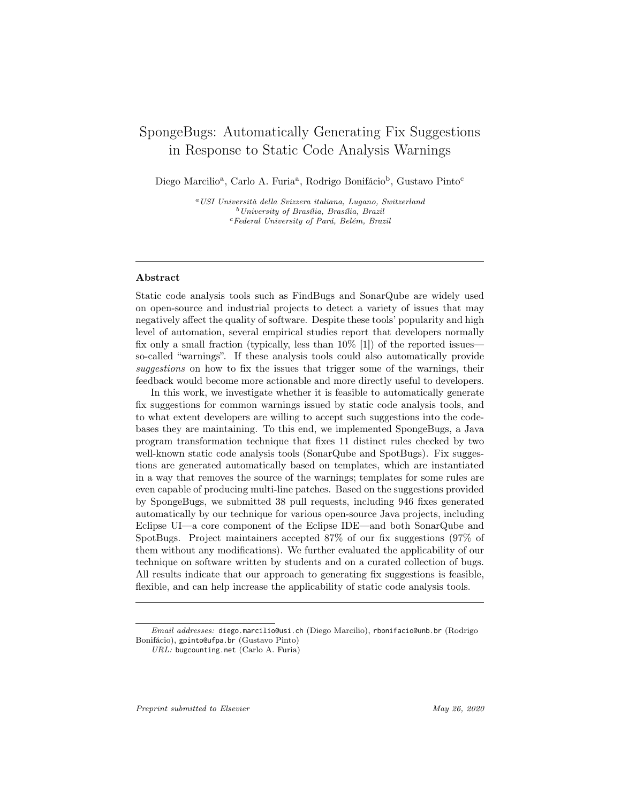# SpongeBugs: Automatically Generating Fix Suggestions in Response to Static Code Analysis Warnings

Diego Marcilio<sup>a</sup>, Carlo A. Furia<sup>a</sup>, Rodrigo Bonifácio<sup>b</sup>, Gustavo Pinto<sup>c</sup>

<sup>a</sup>USI Università della Svizzera italiana, Lugano, Switzerland <sup>b</sup>University of Brasília, Brasília, Brazil <sup>c</sup>Federal University of Pará, Belém, Brazil

## Abstract

Static code analysis tools such as FindBugs and SonarQube are widely used on open-source and industrial projects to detect a variety of issues that may negatively affect the quality of software. Despite these tools' popularity and high level of automation, several empirical studies report that developers normally fix only a small fraction (typically, less than  $10\%$  [1]) of the reported issuesso-called "warnings". If these analysis tools could also automatically provide suggestions on how to fix the issues that trigger some of the warnings, their feedback would become more actionable and more directly useful to developers.

In this work, we investigate whether it is feasible to automatically generate fix suggestions for common warnings issued by static code analysis tools, and to what extent developers are willing to accept such suggestions into the codebases they are maintaining. To this end, we implemented SpongeBugs, a Java program transformation technique that fixes 11 distinct rules checked by two well-known static code analysis tools (SonarQube and SpotBugs). Fix suggestions are generated automatically based on templates, which are instantiated in a way that removes the source of the warnings; templates for some rules are even capable of producing multi-line patches. Based on the suggestions provided by SpongeBugs, we submitted 38 pull requests, including 946 fixes generated automatically by our technique for various open-source Java projects, including Eclipse UI—a core component of the Eclipse IDE—and both SonarQube and SpotBugs. Project maintainers accepted 87% of our fix suggestions (97% of them without any modifications). We further evaluated the applicability of our technique on software written by students and on a curated collection of bugs. All results indicate that our approach to generating fix suggestions is feasible, flexible, and can help increase the applicability of static code analysis tools.

Email addresses: diego.marcilio@usi.ch (Diego Marcilio), rbonifacio@unb.br (Rodrigo Bonifácio), gpinto@ufpa.br (Gustavo Pinto)

Preprint submitted to Elsevier May 26, 2020

URL: bugcounting.net (Carlo A. Furia)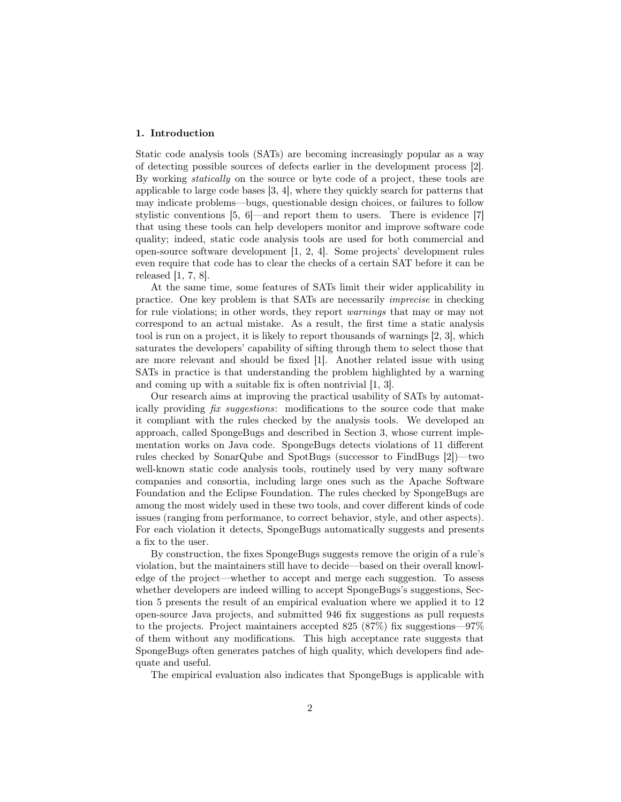# 1. Introduction

Static code analysis tools (SATs) are becoming increasingly popular as a way of detecting possible sources of defects earlier in the development process [2]. By working statically on the source or byte code of a project, these tools are applicable to large code bases [3, 4], where they quickly search for patterns that may indicate problems—bugs, questionable design choices, or failures to follow stylistic conventions [5, 6]—and report them to users. There is evidence [7] that using these tools can help developers monitor and improve software code quality; indeed, static code analysis tools are used for both commercial and open-source software development [1, 2, 4]. Some projects' development rules even require that code has to clear the checks of a certain SAT before it can be released [1, 7, 8].

At the same time, some features of SATs limit their wider applicability in practice. One key problem is that SATs are necessarily imprecise in checking for rule violations; in other words, they report warnings that may or may not correspond to an actual mistake. As a result, the first time a static analysis tool is run on a project, it is likely to report thousands of warnings [2, 3], which saturates the developers' capability of sifting through them to select those that are more relevant and should be fixed [1]. Another related issue with using SATs in practice is that understanding the problem highlighted by a warning and coming up with a suitable fix is often nontrivial [1, 3].

Our research aims at improving the practical usability of SATs by automatically providing fix suggestions: modifications to the source code that make it compliant with the rules checked by the analysis tools. We developed an approach, called SpongeBugs and described in Section 3, whose current implementation works on Java code. SpongeBugs detects violations of 11 different rules checked by SonarQube and SpotBugs (successor to FindBugs [2])—two well-known static code analysis tools, routinely used by very many software companies and consortia, including large ones such as the Apache Software Foundation and the Eclipse Foundation. The rules checked by SpongeBugs are among the most widely used in these two tools, and cover different kinds of code issues (ranging from performance, to correct behavior, style, and other aspects). For each violation it detects, SpongeBugs automatically suggests and presents a fix to the user.

By construction, the fixes SpongeBugs suggests remove the origin of a rule's violation, but the maintainers still have to decide—based on their overall knowledge of the project—whether to accept and merge each suggestion. To assess whether developers are indeed willing to accept SpongeBugs's suggestions, Section 5 presents the result of an empirical evaluation where we applied it to 12 open-source Java projects, and submitted 946 fix suggestions as pull requests to the projects. Project maintainers accepted 825 (87%) fix suggestions—97% of them without any modifications. This high acceptance rate suggests that SpongeBugs often generates patches of high quality, which developers find adequate and useful.

The empirical evaluation also indicates that SpongeBugs is applicable with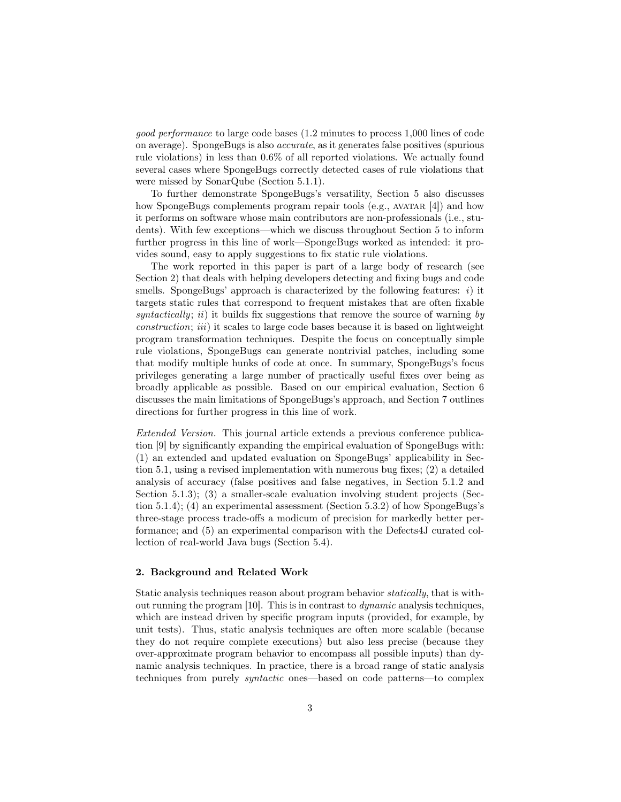good performance to large code bases (1.2 minutes to process 1,000 lines of code on average). SpongeBugs is also accurate, as it generates false positives (spurious rule violations) in less than 0.6% of all reported violations. We actually found several cases where SpongeBugs correctly detected cases of rule violations that were missed by SonarQube (Section 5.1.1).

To further demonstrate SpongeBugs's versatility, Section 5 also discusses how SpongeBugs complements program repair tools (e.g., AVATAR [4]) and how it performs on software whose main contributors are non-professionals (i.e., students). With few exceptions—which we discuss throughout Section 5 to inform further progress in this line of work—SpongeBugs worked as intended: it provides sound, easy to apply suggestions to fix static rule violations.

The work reported in this paper is part of a large body of research (see Section 2) that deals with helping developers detecting and fixing bugs and code smells. SpongeBugs' approach is characterized by the following features:  $i)$  it targets static rules that correspond to frequent mistakes that are often fixable syntactically; ii) it builds fix suggestions that remove the source of warning by  $construction; iii)$  it scales to large code bases because it is based on lightweight program transformation techniques. Despite the focus on conceptually simple rule violations, SpongeBugs can generate nontrivial patches, including some that modify multiple hunks of code at once. In summary, SpongeBugs's focus privileges generating a large number of practically useful fixes over being as broadly applicable as possible. Based on our empirical evaluation, Section 6 discusses the main limitations of SpongeBugs's approach, and Section 7 outlines directions for further progress in this line of work.

Extended Version. This journal article extends a previous conference publication [9] by significantly expanding the empirical evaluation of SpongeBugs with: (1) an extended and updated evaluation on SpongeBugs' applicability in Section 5.1, using a revised implementation with numerous bug fixes; (2) a detailed analysis of accuracy (false positives and false negatives, in Section 5.1.2 and Section 5.1.3); (3) a smaller-scale evaluation involving student projects (Section 5.1.4); (4) an experimental assessment (Section 5.3.2) of how SpongeBugs's three-stage process trade-offs a modicum of precision for markedly better performance; and (5) an experimental comparison with the Defects4J curated collection of real-world Java bugs (Section 5.4).

### 2. Background and Related Work

Static analysis techniques reason about program behavior statically, that is without running the program [10]. This is in contrast to dynamic analysis techniques, which are instead driven by specific program inputs (provided, for example, by unit tests). Thus, static analysis techniques are often more scalable (because they do not require complete executions) but also less precise (because they over-approximate program behavior to encompass all possible inputs) than dynamic analysis techniques. In practice, there is a broad range of static analysis techniques from purely syntactic ones—based on code patterns—to complex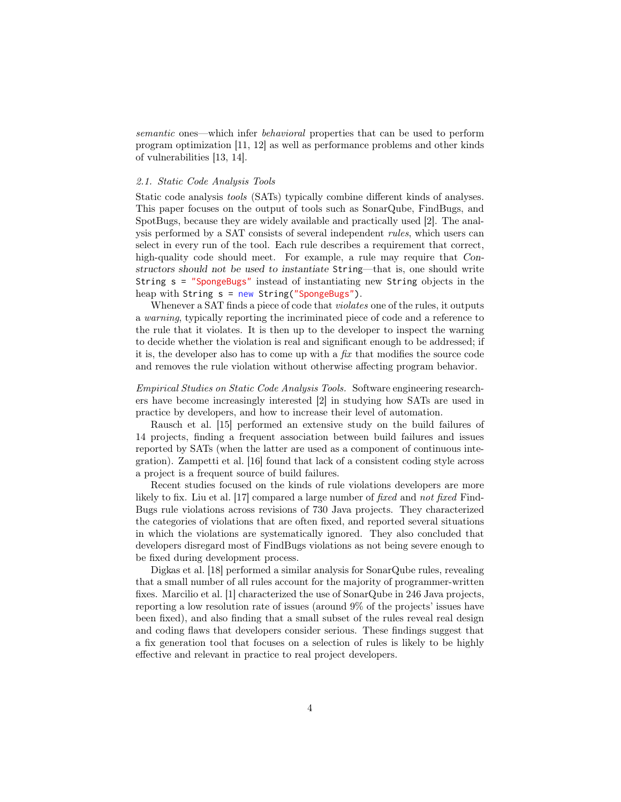semantic ones—which infer *behavioral* properties that can be used to perform program optimization [11, 12] as well as performance problems and other kinds of vulnerabilities [13, 14].

#### 2.1. Static Code Analysis Tools

Static code analysis tools (SATs) typically combine different kinds of analyses. This paper focuses on the output of tools such as SonarQube, FindBugs, and SpotBugs, because they are widely available and practically used [2]. The analysis performed by a SAT consists of several independent rules, which users can select in every run of the tool. Each rule describes a requirement that correct, high-quality code should meet. For example, a rule may require that Constructors should not be used to instantiate String—that is, one should write String s = "SpongeBugs" instead of instantiating new String objects in the heap with String s = new String("SpongeBugs").

Whenever a SAT finds a piece of code that *violates* one of the rules, it outputs a warning, typically reporting the incriminated piece of code and a reference to the rule that it violates. It is then up to the developer to inspect the warning to decide whether the violation is real and significant enough to be addressed; if it is, the developer also has to come up with a  $\hat{f}x$  that modifies the source code and removes the rule violation without otherwise affecting program behavior.

Empirical Studies on Static Code Analysis Tools. Software engineering researchers have become increasingly interested [2] in studying how SATs are used in practice by developers, and how to increase their level of automation.

Rausch et al. [15] performed an extensive study on the build failures of 14 projects, finding a frequent association between build failures and issues reported by SATs (when the latter are used as a component of continuous integration). Zampetti et al. [16] found that lack of a consistent coding style across a project is a frequent source of build failures.

Recent studies focused on the kinds of rule violations developers are more likely to fix. Liu et al. [17] compared a large number of *fixed* and *not fixed* Find-Bugs rule violations across revisions of 730 Java projects. They characterized the categories of violations that are often fixed, and reported several situations in which the violations are systematically ignored. They also concluded that developers disregard most of FindBugs violations as not being severe enough to be fixed during development process.

Digkas et al. [18] performed a similar analysis for SonarQube rules, revealing that a small number of all rules account for the majority of programmer-written fixes. Marcilio et al. [1] characterized the use of SonarQube in 246 Java projects, reporting a low resolution rate of issues (around 9% of the projects' issues have been fixed), and also finding that a small subset of the rules reveal real design and coding flaws that developers consider serious. These findings suggest that a fix generation tool that focuses on a selection of rules is likely to be highly effective and relevant in practice to real project developers.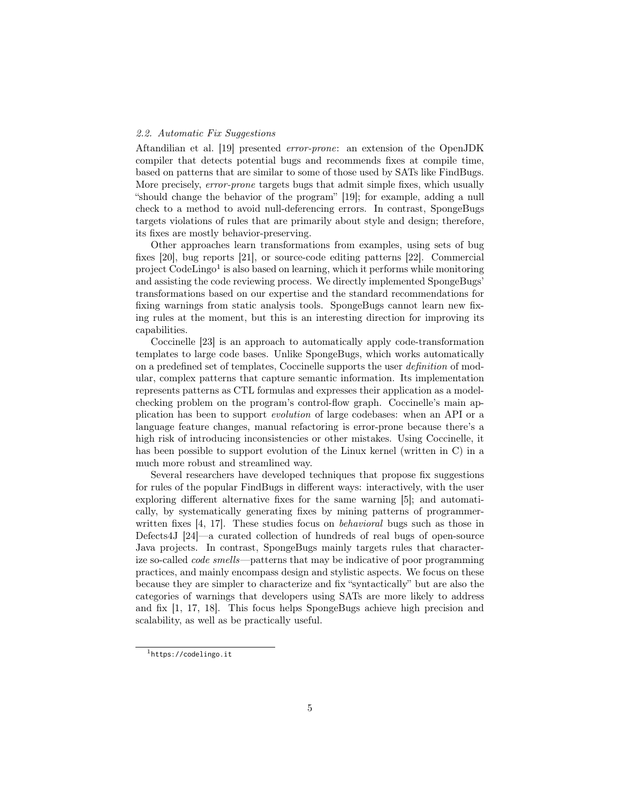## 2.2. Automatic Fix Suggestions

Aftandilian et al. [19] presented error-prone: an extension of the OpenJDK compiler that detects potential bugs and recommends fixes at compile time, based on patterns that are similar to some of those used by SATs like FindBugs. More precisely, error-prone targets bugs that admit simple fixes, which usually "should change the behavior of the program" [19]; for example, adding a null check to a method to avoid null-deferencing errors. In contrast, SpongeBugs targets violations of rules that are primarily about style and design; therefore, its fixes are mostly behavior-preserving.

Other approaches learn transformations from examples, using sets of bug fixes [20], bug reports [21], or source-code editing patterns [22]. Commercial project CodeLingo<sup>1</sup> is also based on learning, which it performs while monitoring and assisting the code reviewing process. We directly implemented SpongeBugs' transformations based on our expertise and the standard recommendations for fixing warnings from static analysis tools. SpongeBugs cannot learn new fixing rules at the moment, but this is an interesting direction for improving its capabilities.

Coccinelle [23] is an approach to automatically apply code-transformation templates to large code bases. Unlike SpongeBugs, which works automatically on a predefined set of templates, Coccinelle supports the user definition of modular, complex patterns that capture semantic information. Its implementation represents patterns as CTL formulas and expresses their application as a modelchecking problem on the program's control-flow graph. Coccinelle's main application has been to support evolution of large codebases: when an API or a language feature changes, manual refactoring is error-prone because there's a high risk of introducing inconsistencies or other mistakes. Using Coccinelle, it has been possible to support evolution of the Linux kernel (written in C) in a much more robust and streamlined way.

Several researchers have developed techniques that propose fix suggestions for rules of the popular FindBugs in different ways: interactively, with the user exploring different alternative fixes for the same warning [5]; and automatically, by systematically generating fixes by mining patterns of programmerwritten fixes [4, 17]. These studies focus on *behavioral* bugs such as those in Defects4J [24]—a curated collection of hundreds of real bugs of open-source Java projects. In contrast, SpongeBugs mainly targets rules that characterize so-called code smells—patterns that may be indicative of poor programming practices, and mainly encompass design and stylistic aspects. We focus on these because they are simpler to characterize and fix "syntactically" but are also the categories of warnings that developers using SATs are more likely to address and fix [1, 17, 18]. This focus helps SpongeBugs achieve high precision and scalability, as well as be practically useful.

<sup>1</sup>https://codelingo.it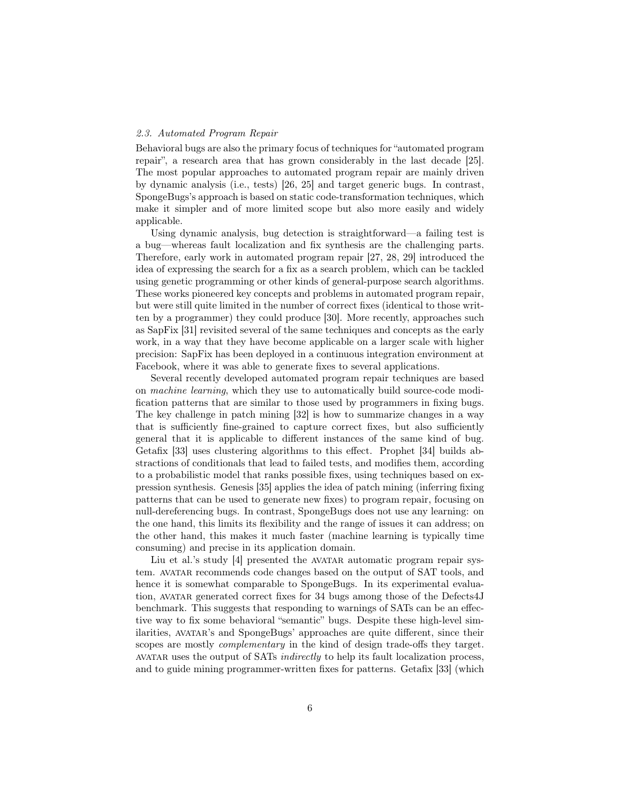### 2.3. Automated Program Repair

Behavioral bugs are also the primary focus of techniques for "automated program repair", a research area that has grown considerably in the last decade [25]. The most popular approaches to automated program repair are mainly driven by dynamic analysis (i.e., tests) [26, 25] and target generic bugs. In contrast, SpongeBugs's approach is based on static code-transformation techniques, which make it simpler and of more limited scope but also more easily and widely applicable.

Using dynamic analysis, bug detection is straightforward—a failing test is a bug—whereas fault localization and fix synthesis are the challenging parts. Therefore, early work in automated program repair [27, 28, 29] introduced the idea of expressing the search for a fix as a search problem, which can be tackled using genetic programming or other kinds of general-purpose search algorithms. These works pioneered key concepts and problems in automated program repair, but were still quite limited in the number of correct fixes (identical to those written by a programmer) they could produce [30]. More recently, approaches such as SapFix [31] revisited several of the same techniques and concepts as the early work, in a way that they have become applicable on a larger scale with higher precision: SapFix has been deployed in a continuous integration environment at Facebook, where it was able to generate fixes to several applications.

Several recently developed automated program repair techniques are based on machine learning, which they use to automatically build source-code modification patterns that are similar to those used by programmers in fixing bugs. The key challenge in patch mining [32] is how to summarize changes in a way that is sufficiently fine-grained to capture correct fixes, but also sufficiently general that it is applicable to different instances of the same kind of bug. Getafix [33] uses clustering algorithms to this effect. Prophet [34] builds abstractions of conditionals that lead to failed tests, and modifies them, according to a probabilistic model that ranks possible fixes, using techniques based on expression synthesis. Genesis [35] applies the idea of patch mining (inferring fixing patterns that can be used to generate new fixes) to program repair, focusing on null-dereferencing bugs. In contrast, SpongeBugs does not use any learning: on the one hand, this limits its flexibility and the range of issues it can address; on the other hand, this makes it much faster (machine learning is typically time consuming) and precise in its application domain.

Liu et al.'s study [4] presented the AVATAR automatic program repair system. avatar recommends code changes based on the output of SAT tools, and hence it is somewhat comparable to SpongeBugs. In its experimental evaluation, avatar generated correct fixes for 34 bugs among those of the Defects4J benchmark. This suggests that responding to warnings of SATs can be an effective way to fix some behavioral "semantic" bugs. Despite these high-level similarities, avatar's and SpongeBugs' approaches are quite different, since their scopes are mostly complementary in the kind of design trade-offs they target. AVATAR uses the output of SATs *indirectly* to help its fault localization process, and to guide mining programmer-written fixes for patterns. Getafix [33] (which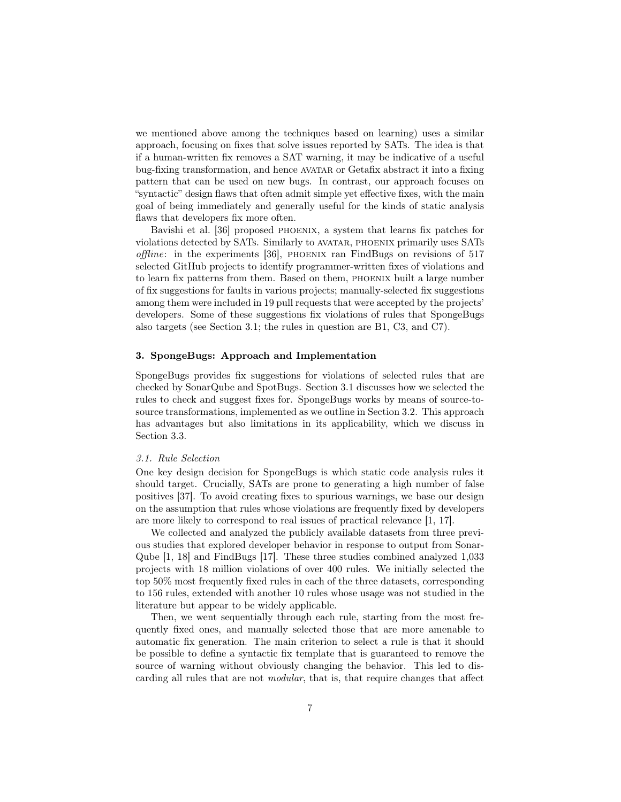we mentioned above among the techniques based on learning) uses a similar approach, focusing on fixes that solve issues reported by SATs. The idea is that if a human-written fix removes a SAT warning, it may be indicative of a useful bug-fixing transformation, and hence avatar or Getafix abstract it into a fixing pattern that can be used on new bugs. In contrast, our approach focuses on "syntactic" design flaws that often admit simple yet effective fixes, with the main goal of being immediately and generally useful for the kinds of static analysis flaws that developers fix more often.

Bavishi et al. [36] proposed phoenix, a system that learns fix patches for violations detected by SATs. Similarly to avatar, phoenix primarily uses SATs  $ofline:$  in the experiments [36], PHOENIX ran FindBugs on revisions of 517 selected GitHub projects to identify programmer-written fixes of violations and to learn fix patterns from them. Based on them, phoenix built a large number of fix suggestions for faults in various projects; manually-selected fix suggestions among them were included in 19 pull requests that were accepted by the projects' developers. Some of these suggestions fix violations of rules that SpongeBugs also targets (see Section 3.1; the rules in question are B1, C3, and C7).

# 3. SpongeBugs: Approach and Implementation

SpongeBugs provides fix suggestions for violations of selected rules that are checked by SonarQube and SpotBugs. Section 3.1 discusses how we selected the rules to check and suggest fixes for. SpongeBugs works by means of source-tosource transformations, implemented as we outline in Section 3.2. This approach has advantages but also limitations in its applicability, which we discuss in Section 3.3.

# 3.1. Rule Selection

One key design decision for SpongeBugs is which static code analysis rules it should target. Crucially, SATs are prone to generating a high number of false positives [37]. To avoid creating fixes to spurious warnings, we base our design on the assumption that rules whose violations are frequently fixed by developers are more likely to correspond to real issues of practical relevance [1, 17].

We collected and analyzed the publicly available datasets from three previous studies that explored developer behavior in response to output from Sonar-Qube [1, 18] and FindBugs [17]. These three studies combined analyzed 1,033 projects with 18 million violations of over 400 rules. We initially selected the top 50% most frequently fixed rules in each of the three datasets, corresponding to 156 rules, extended with another 10 rules whose usage was not studied in the literature but appear to be widely applicable.

Then, we went sequentially through each rule, starting from the most frequently fixed ones, and manually selected those that are more amenable to automatic fix generation. The main criterion to select a rule is that it should be possible to define a syntactic fix template that is guaranteed to remove the source of warning without obviously changing the behavior. This led to discarding all rules that are not modular, that is, that require changes that affect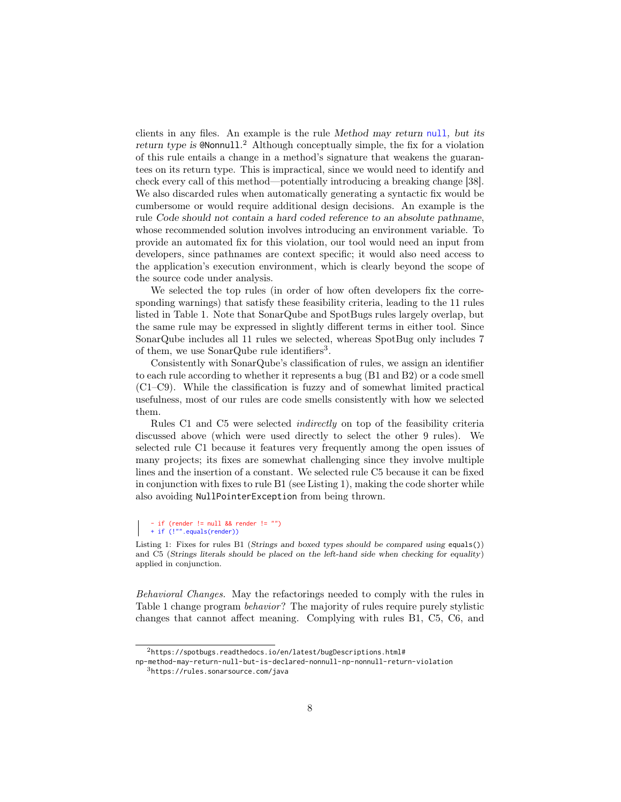clients in any files. An example is the rule Method may return null, but its return type is @Nonnull.<sup>2</sup> Although conceptually simple, the fix for a violation of this rule entails a change in a method's signature that weakens the guarantees on its return type. This is impractical, since we would need to identify and check every call of this method—potentially introducing a breaking change [38]. We also discarded rules when automatically generating a syntactic fix would be cumbersome or would require additional design decisions. An example is the rule Code should not contain a hard coded reference to an absolute pathname, whose recommended solution involves introducing an environment variable. To provide an automated fix for this violation, our tool would need an input from developers, since pathnames are context specific; it would also need access to the application's execution environment, which is clearly beyond the scope of the source code under analysis.

We selected the top rules (in order of how often developers fix the corresponding warnings) that satisfy these feasibility criteria, leading to the 11 rules listed in Table 1. Note that SonarQube and SpotBugs rules largely overlap, but the same rule may be expressed in slightly different terms in either tool. Since SonarQube includes all 11 rules we selected, whereas SpotBug only includes 7 of them, we use SonarQube rule identifiers<sup>3</sup>.

Consistently with SonarQube's classification of rules, we assign an identifier to each rule according to whether it represents a bug (B1 and B2) or a code smell (C1–C9). While the classification is fuzzy and of somewhat limited practical usefulness, most of our rules are code smells consistently with how we selected them.

Rules C1 and C5 were selected indirectly on top of the feasibility criteria discussed above (which were used directly to select the other 9 rules). We selected rule C1 because it features very frequently among the open issues of many projects; its fixes are somewhat challenging since they involve multiple lines and the insertion of a constant. We selected rule C5 because it can be fixed in conjunction with fixes to rule B1 (see Listing 1), making the code shorter while also avoiding NullPointerException from being thrown.

```
- if (render != null && render != "")
+ if (!"".equals(render))
```
Behavioral Changes. May the refactorings needed to comply with the rules in Table 1 change program behavior? The majority of rules require purely stylistic changes that cannot affect meaning. Complying with rules B1, C5, C6, and

Listing 1: Fixes for rules B1 (Strings and boxed types should be compared using equals()) and C5 (Strings literals should be placed on the left-hand side when checking for equality) applied in conjunction.

 $2$ https://spotbugs.readthedocs.io/en/latest/bugDescriptions.html#

np-method-may-return-null-but-is-declared-nonnull-np-nonnull-return-violation

<sup>3</sup>https://rules.sonarsource.com/java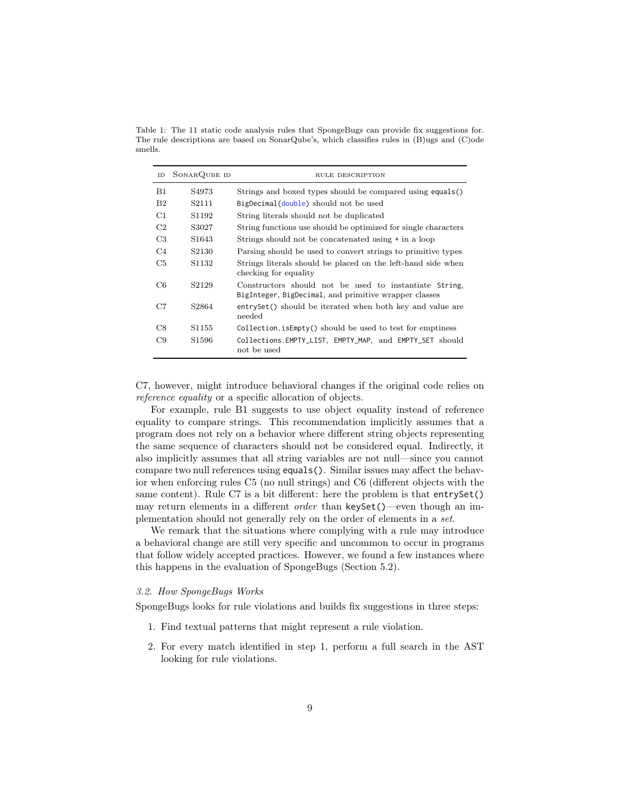Table 1: The 11 static code analysis rules that SpongeBugs can provide fix suggestions for. The rule descriptions are based on SonarQube's, which classifies rules in (B)ugs and (C)ode smells.

| ID             | SONARQUBE ID       | RULE DESCRIPTION                                                                                                |
|----------------|--------------------|-----------------------------------------------------------------------------------------------------------------|
| B1             | S4973              | Strings and boxed types should be compared using equals()                                                       |
| B <sub>2</sub> | S <sub>2</sub> 111 | BigDecimal(double) should not be used                                                                           |
| C1             | S1192              | String literals should not be duplicated                                                                        |
| C <sub>2</sub> | S <sub>3</sub> 027 | String functions use should be optimized for single characters                                                  |
| C <sub>3</sub> | S <sub>1643</sub>  | Strings should not be concatenated using $+$ in a loop                                                          |
| C <sub>4</sub> | S <sub>2</sub> 130 | Parsing should be used to convert strings to primitive types                                                    |
| C5             | S <sub>1132</sub>  | Strings literals should be placed on the left-hand side when<br>checking for equality                           |
| C <sub>6</sub> | S <sub>2</sub> 129 | Constructors should not be used to instantiate String,<br>BigInteger, BigDecimal, and primitive wrapper classes |
| C7             | S <sub>2864</sub>  | entryset() should be iterated when both key and value are<br>needed                                             |
| C8             | S <sub>1155</sub>  | Collection. $i$ sEmpty $(j)$ should be used to test for emptiness                                               |
| C9             | S <sub>1596</sub>  | Collections.EMPTY_LIST, EMPTY_MAP, and EMPTY_SET should<br>not be used                                          |

C7, however, might introduce behavioral changes if the original code relies on reference equality or a specific allocation of objects.

For example, rule B1 suggests to use object equality instead of reference equality to compare strings. This recommendation implicitly assumes that a program does not rely on a behavior where different string objects representing the same sequence of characters should not be considered equal. Indirectly, it also implicitly assumes that all string variables are not null—since you cannot compare two null references using equals(). Similar issues may affect the behavior when enforcing rules C5 (no null strings) and C6 (different objects with the same content). Rule C7 is a bit different: here the problem is that entrySet() may return elements in a different order than keySet()—even though an implementation should not generally rely on the order of elements in a set.

We remark that the situations where complying with a rule may introduce a behavioral change are still very specific and uncommon to occur in programs that follow widely accepted practices. However, we found a few instances where this happens in the evaluation of SpongeBugs (Section 5.2).

# 3.2. How SpongeBugs Works

SpongeBugs looks for rule violations and builds fix suggestions in three steps:

- 1. Find textual patterns that might represent a rule violation.
- 2. For every match identified in step 1, perform a full search in the AST looking for rule violations.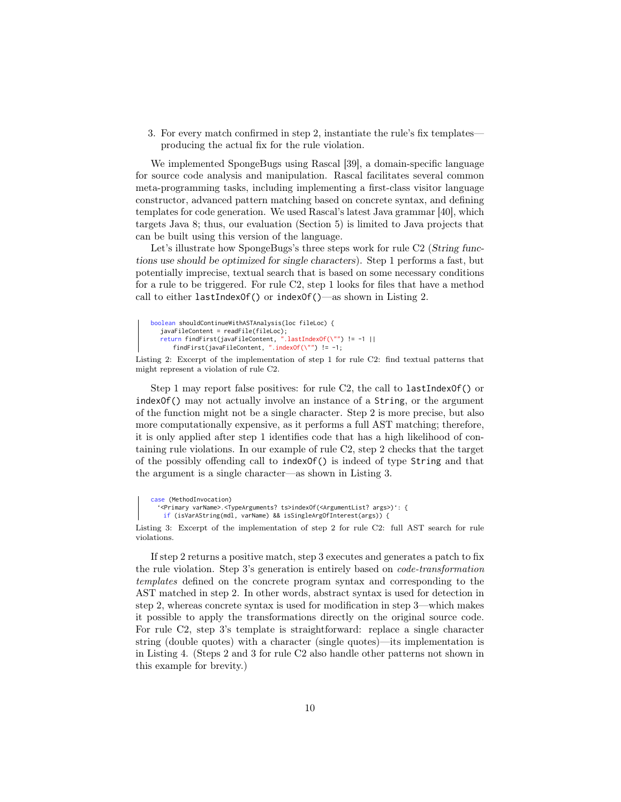3. For every match confirmed in step 2, instantiate the rule's fix templates producing the actual fix for the rule violation.

We implemented SpongeBugs using Rascal [39], a domain-specific language for source code analysis and manipulation. Rascal facilitates several common meta-programming tasks, including implementing a first-class visitor language constructor, advanced pattern matching based on concrete syntax, and defining templates for code generation. We used Rascal's latest Java grammar [40], which targets Java 8; thus, our evaluation (Section 5) is limited to Java projects that can be built using this version of the language.

Let's illustrate how SpongeBugs's three steps work for rule C2 (String functions use should be optimized for single characters). Step 1 performs a fast, but potentially imprecise, textual search that is based on some necessary conditions for a rule to be triggered. For rule C2, step 1 looks for files that have a method call to either lastIndexOf() or indexOf()—as shown in Listing 2.

```
boolean shouldContinueWithASTAnalysis(loc fileLoc) {
  javaFileContent = readFile(fileLoc);
  return findFirst(javaFileContent, ".lastIndexOf(\"") != -1 ||
      findFirst(javaFileContent, ".indexOf(\"") != -1;
```
Listing 2: Excerpt of the implementation of step 1 for rule C2: find textual patterns that might represent a violation of rule C2.

Step 1 may report false positives: for rule C2, the call to lastIndexOf() or indexOf() may not actually involve an instance of a String, or the argument of the function might not be a single character. Step 2 is more precise, but also more computationally expensive, as it performs a full AST matching; therefore, it is only applied after step 1 identifies code that has a high likelihood of containing rule violations. In our example of rule C2, step 2 checks that the target of the possibly offending call to indexOf() is indeed of type String and that the argument is a single character—as shown in Listing 3.

case (MethodInvocation) '<Primary varName>.<TypeArguments? ts>indexOf(<ArgumentList? args>)': { if (isVarAString(mdl, varName) && isSingleArgOfInterest(args)) {

Listing 3: Excerpt of the implementation of step 2 for rule C2: full AST search for rule violations.

If step 2 returns a positive match, step 3 executes and generates a patch to fix the rule violation. Step 3's generation is entirely based on code-transformation templates defined on the concrete program syntax and corresponding to the AST matched in step 2. In other words, abstract syntax is used for detection in step 2, whereas concrete syntax is used for modification in step 3—which makes it possible to apply the transformations directly on the original source code. For rule C2, step 3's template is straightforward: replace a single character string (double quotes) with a character (single quotes)—its implementation is in Listing 4. (Steps 2 and 3 for rule C2 also handle other patterns not shown in this example for brevity.)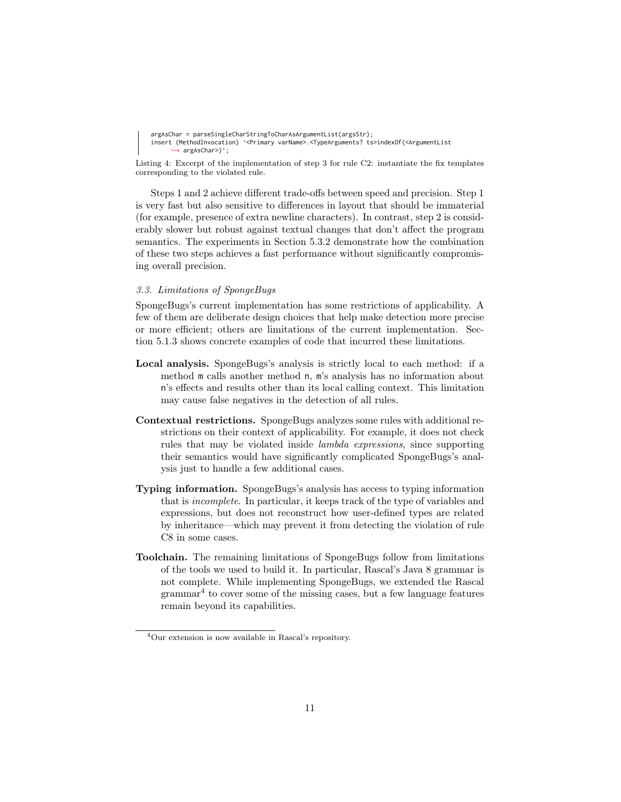```
argAsChar = parseSingleCharStringToCharAsArgumentList(argsStr);
insert (MethodInvocation) '<Primary varName>.<TypeArguments? ts>indexOf(<ArgumentList
      ֒→ argAsChar>)';
```
Listing 4: Excerpt of the implementation of step 3 for rule C2: instantiate the fix templates corresponding to the violated rule.

Steps 1 and 2 achieve different trade-offs between speed and precision. Step 1 is very fast but also sensitive to differences in layout that should be immaterial (for example, presence of extra newline characters). In contrast, step 2 is considerably slower but robust against textual changes that don't affect the program semantics. The experiments in Section 5.3.2 demonstrate how the combination of these two steps achieves a fast performance without significantly compromising overall precision.

## 3.3. Limitations of SpongeBugs

SpongeBugs's current implementation has some restrictions of applicability. A few of them are deliberate design choices that help make detection more precise or more efficient; others are limitations of the current implementation. Section 5.1.3 shows concrete examples of code that incurred these limitations.

- Local analysis. SpongeBugs's analysis is strictly local to each method: if a method m calls another method n, m's analysis has no information about n's effects and results other than its local calling context. This limitation may cause false negatives in the detection of all rules.
- Contextual restrictions. SpongeBugs analyzes some rules with additional restrictions on their context of applicability. For example, it does not check rules that may be violated inside lambda expressions, since supporting their semantics would have significantly complicated SpongeBugs's analysis just to handle a few additional cases.
- Typing information. SpongeBugs's analysis has access to typing information that is incomplete. In particular, it keeps track of the type of variables and expressions, but does not reconstruct how user-defined types are related by inheritance—which may prevent it from detecting the violation of rule C8 in some cases.
- Toolchain. The remaining limitations of SpongeBugs follow from limitations of the tools we used to build it. In particular, Rascal's Java 8 grammar is not complete. While implementing SpongeBugs, we extended the Rascal grammar<sup>4</sup> to cover some of the missing cases, but a few language features remain beyond its capabilities.

<sup>4</sup>Our extension is now available in Rascal's repository.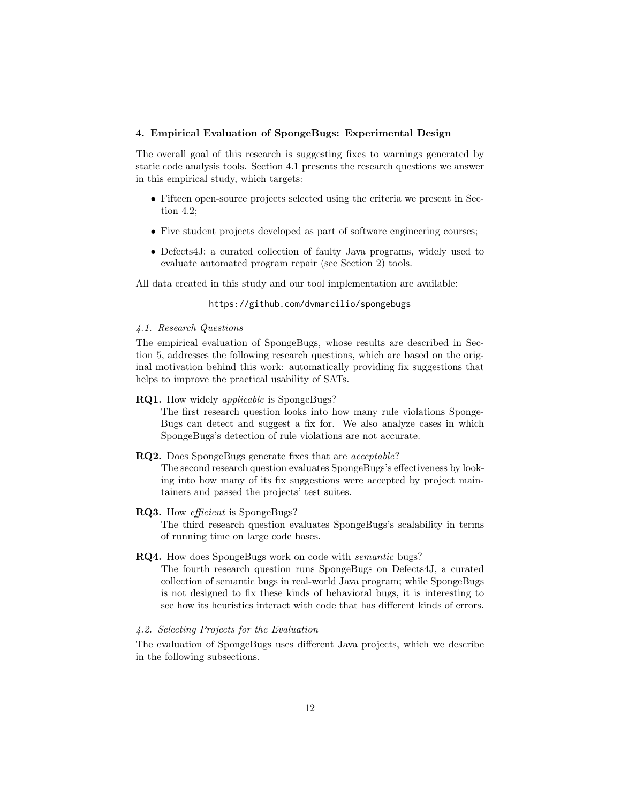### 4. Empirical Evaluation of SpongeBugs: Experimental Design

The overall goal of this research is suggesting fixes to warnings generated by static code analysis tools. Section 4.1 presents the research questions we answer in this empirical study, which targets:

- Fifteen open-source projects selected using the criteria we present in Section 4.2;
- Five student projects developed as part of software engineering courses;
- Defects4J: a curated collection of faulty Java programs, widely used to evaluate automated program repair (see Section 2) tools.

All data created in this study and our tool implementation are available:

#### https://github.com/dvmarcilio/spongebugs

## 4.1. Research Questions

The empirical evaluation of SpongeBugs, whose results are described in Section 5, addresses the following research questions, which are based on the original motivation behind this work: automatically providing fix suggestions that helps to improve the practical usability of SATs.

## RQ1. How widely applicable is SpongeBugs?

The first research question looks into how many rule violations Sponge-Bugs can detect and suggest a fix for. We also analyze cases in which SpongeBugs's detection of rule violations are not accurate.

#### RQ2. Does SpongeBugs generate fixes that are acceptable?

The second research question evaluates SpongeBugs's effectiveness by looking into how many of its fix suggestions were accepted by project maintainers and passed the projects' test suites.

## RQ3. How efficient is SpongeBugs?

The third research question evaluates SpongeBugs's scalability in terms of running time on large code bases.

# RQ4. How does SpongeBugs work on code with semantic bugs?

The fourth research question runs SpongeBugs on Defects4J, a curated collection of semantic bugs in real-world Java program; while SpongeBugs is not designed to fix these kinds of behavioral bugs, it is interesting to see how its heuristics interact with code that has different kinds of errors.

# 4.2. Selecting Projects for the Evaluation

The evaluation of SpongeBugs uses different Java projects, which we describe in the following subsections.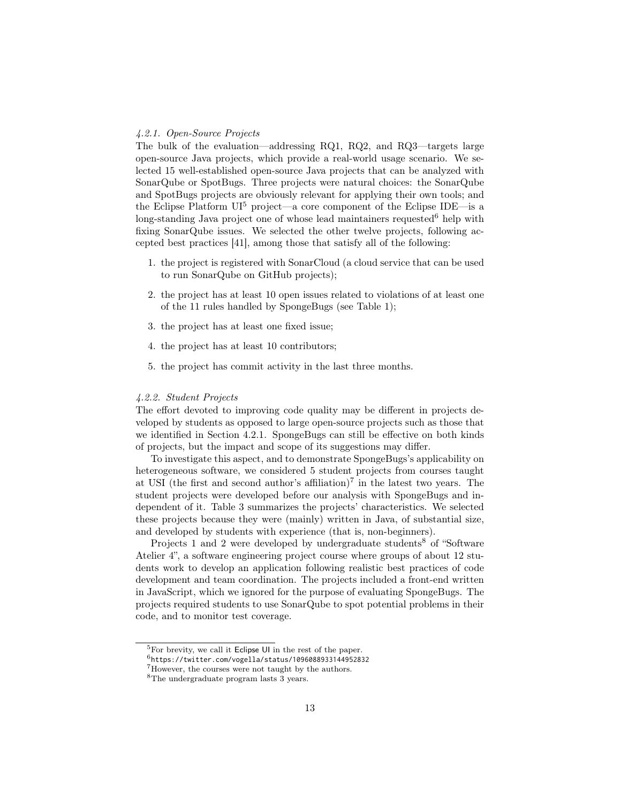# 4.2.1. Open-Source Projects

The bulk of the evaluation—addressing RQ1, RQ2, and RQ3—targets large open-source Java projects, which provide a real-world usage scenario. We selected 15 well-established open-source Java projects that can be analyzed with SonarQube or SpotBugs. Three projects were natural choices: the SonarQube and SpotBugs projects are obviously relevant for applying their own tools; and the Eclipse Platform  $UI^5$  project—a core component of the Eclipse IDE—is a long-standing Java project one of whose lead maintainers requested<sup>6</sup> help with fixing SonarQube issues. We selected the other twelve projects, following accepted best practices [41], among those that satisfy all of the following:

- 1. the project is registered with SonarCloud (a cloud service that can be used to run SonarQube on GitHub projects);
- 2. the project has at least 10 open issues related to violations of at least one of the 11 rules handled by SpongeBugs (see Table 1);
- 3. the project has at least one fixed issue;
- 4. the project has at least 10 contributors;
- 5. the project has commit activity in the last three months.

#### 4.2.2. Student Projects

The effort devoted to improving code quality may be different in projects developed by students as opposed to large open-source projects such as those that we identified in Section 4.2.1. SpongeBugs can still be effective on both kinds of projects, but the impact and scope of its suggestions may differ.

To investigate this aspect, and to demonstrate SpongeBugs's applicability on heterogeneous software, we considered 5 student projects from courses taught at USI (the first and second author's affiliation)<sup>7</sup> in the latest two years. The student projects were developed before our analysis with SpongeBugs and independent of it. Table 3 summarizes the projects' characteristics. We selected these projects because they were (mainly) written in Java, of substantial size, and developed by students with experience (that is, non-beginners).

Projects 1 and 2 were developed by undergraduate students<sup>8</sup> of "Software" Atelier 4", a software engineering project course where groups of about 12 students work to develop an application following realistic best practices of code development and team coordination. The projects included a front-end written in JavaScript, which we ignored for the purpose of evaluating SpongeBugs. The projects required students to use SonarQube to spot potential problems in their code, and to monitor test coverage.

<sup>5</sup>For brevity, we call it Eclipse UI in the rest of the paper.

<sup>6</sup>https://twitter.com/vogella/status/1096088933144952832

<sup>7</sup>However, the courses were not taught by the authors.

<sup>8</sup>The undergraduate program lasts 3 years.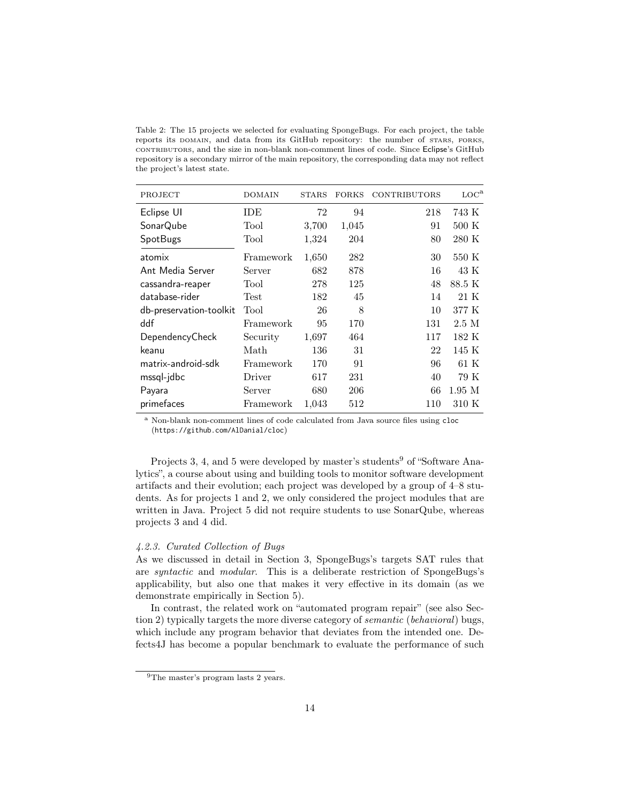Table 2: The 15 projects we selected for evaluating SpongeBugs. For each project, the table reports its DOMAIN, and data from its GitHub repository: the number of STARS, FORKS, contrue urors, and the size in non-blank non-comment lines of code. Since Eclipse's GitHub repository is a secondary mirror of the main repository, the corresponding data may not reflect the project's latest state.

| PROJECT                 | <b>DOMAIN</b> | <b>STARS</b> | <b>FORKS</b> | CONTRIBUTORS | LOC <sup>a</sup> |
|-------------------------|---------------|--------------|--------------|--------------|------------------|
| Eclipse UI              | IDE           | 72           | 94           | 218          | 743 K            |
| SonarQube               | Tool          | 3,700        | 1,045        | 91           | $500\text{ K}$   |
| SpotBugs                | Tool          | 1,324        | 204          | 80           | 280 K            |
| atomix                  | Framework     | 1,650        | 282          | 30           | 550 K            |
| Ant Media Server        | Server        | 682          | 878          | 16           | 43 K             |
| cassandra-reaper        | Tool          | 278          | 125          | 48           | 88.5 K           |
| database-rider          | Test          | 182          | 45           | 14           | 21 K             |
| db-preservation-toolkit | Tool          | 26           | 8            | 10           | 377 K            |
| ddf                     | Framework     | 95           | 170          | 131          | $2.5\text{ M}$   |
| DependencyCheck         | Security      | 1,697        | 464          | 117          | 182 K            |
| keanu                   | Math          | 136          | 31           | 22           | 145 K            |
| matrix-android-sdk      | Framework     | 170          | 91           | 96           | 61 K             |
| mssql-jdbc              | Driver        | 617          | 231          | 40           | 79 K             |
| Payara                  | Server        | 680          | 206          | 66           | $1.95$ M         |
| primefaces              | Framework     | 1,043        | 512          | 110          | 310 K            |

<sup>a</sup> Non-blank non-comment lines of code calculated from Java source files using cloc (https://github.com/AlDanial/cloc)

Projects 3, 4, and 5 were developed by master's students<sup>9</sup> of "Software Analytics", a course about using and building tools to monitor software development artifacts and their evolution; each project was developed by a group of 4–8 students. As for projects 1 and 2, we only considered the project modules that are written in Java. Project 5 did not require students to use SonarQube, whereas projects 3 and 4 did.

# 4.2.3. Curated Collection of Bugs

As we discussed in detail in Section 3, SpongeBugs's targets SAT rules that are syntactic and modular. This is a deliberate restriction of SpongeBugs's applicability, but also one that makes it very effective in its domain (as we demonstrate empirically in Section 5).

In contrast, the related work on "automated program repair" (see also Section 2) typically targets the more diverse category of semantic (behavioral) bugs, which include any program behavior that deviates from the intended one. Defects4J has become a popular benchmark to evaluate the performance of such

<sup>&</sup>lt;sup>9</sup>The master's program lasts 2 years.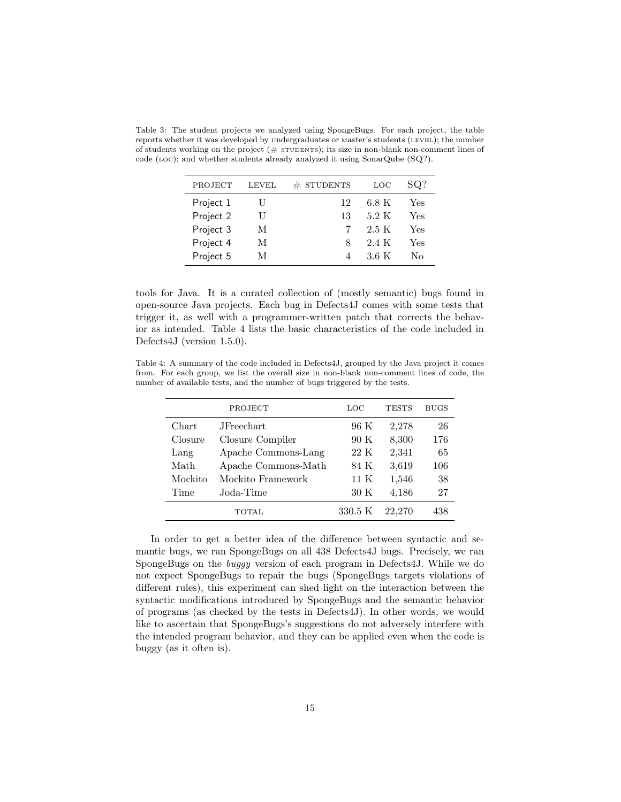| PROJECT   | <b>LEVEL</b> | $#$ STUDENTS | LOC   | SQ? |
|-----------|--------------|--------------|-------|-----|
| Project 1 |              | 12           | 6.8 K | Yes |
| Project 2 |              | 13           | 5.2 K | Yes |
| Project 3 | М            |              | 2.5 K | Yes |
| Project 4 | М            | 8            | 24K   | Yes |
| Project 5 | M            |              | 3 6 K | Nο  |
|           |              |              |       |     |

Table 3: The student projects we analyzed using SpongeBugs. For each project, the table reports whether it was developed by undergraduates or master's students (level); the number of students working on the project  $(\#$  students); its size in non-blank non-comment lines of code (loc); and whether students already analyzed it using SonarQube (SQ?).

tools for Java. It is a curated collection of (mostly semantic) bugs found in open-source Java projects. Each bug in Defects4J comes with some tests that trigger it, as well with a programmer-written patch that corrects the behavior as intended. Table 4 lists the basic characteristics of the code included in Defects4J (version 1.5.0).

Table 4: A summary of the code included in Defects4J, grouped by the Java project it comes from. For each group, we list the overall size in non-blank non-comment lines of code, the number of available tests, and the number of bugs triggered by the tests.

|         | PROJECT             | LOC     | <b>TESTS</b> | <b>BUGS</b> |
|---------|---------------------|---------|--------------|-------------|
| Chart   | <b>JFreechart</b>   | 96 K    | 2,278        | 26          |
| Closure | Closure Compiler    | 90 K    | 8,300        | 176         |
| Lang    | Apache Commons-Lang | 22 K    | 2,341        | 65          |
| Math    | Apache Commons-Math | 84 K    | 3,619        | 106         |
| Mockito | Mockito Framework   | 11 K    | 1,546        | 38          |
| Time    | Joda-Time           | 30 K    | 4,186        | 27          |
|         | <b>TOTAL</b>        | 330.5 K | 22,270       | 438         |

In order to get a better idea of the difference between syntactic and semantic bugs, we ran SpongeBugs on all 438 Defects4J bugs. Precisely, we ran SpongeBugs on the buggy version of each program in Defects4J. While we do not expect SpongeBugs to repair the bugs (SpongeBugs targets violations of different rules), this experiment can shed light on the interaction between the syntactic modifications introduced by SpongeBugs and the semantic behavior of programs (as checked by the tests in Defects4J). In other words, we would like to ascertain that SpongeBugs's suggestions do not adversely interfere with the intended program behavior, and they can be applied even when the code is buggy (as it often is).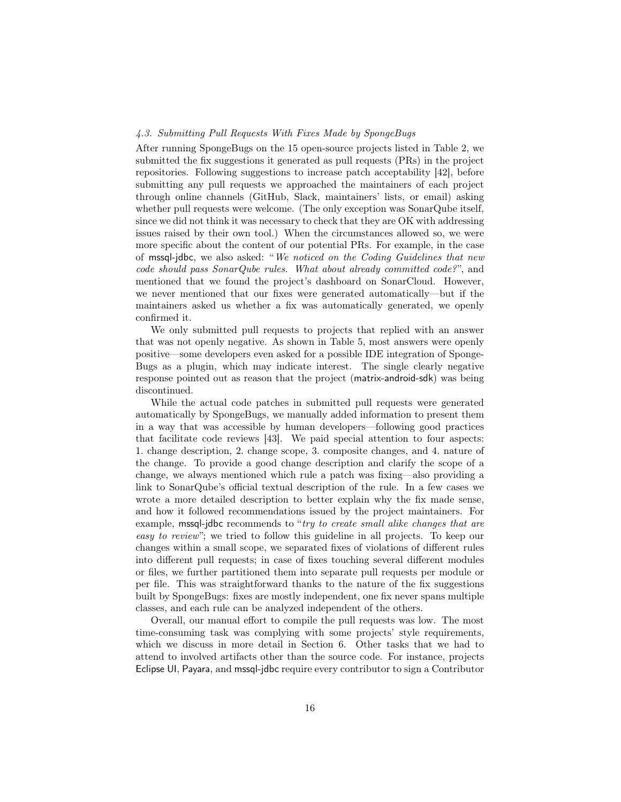# 4.3. Submitting Pull Requests With Fixes Made by SpongeBugs

After running SpongeBugs on the 15 open-source projects listed in Table 2, we submitted the fix suggestions it generated as pull requests (PRs) in the project repositories. Following suggestions to increase patch acceptability [42], before submitting any pull requests we approached the maintainers of each project through online channels (GitHub, Slack, maintainers' lists, or email) asking whether pull requests were welcome. (The only exception was SonarQube itself, since we did not think it was necessary to check that they are OK with addressing issues raised by their own tool.) When the circumstances allowed so, we were more specific about the content of our potential PRs. For example, in the case of mssql-jdbc, we also asked: "We noticed on the Coding Guidelines that new code should pass SonarQube rules. What about already committed code?", and mentioned that we found the project's dashboard on SonarCloud. However, we never mentioned that our fixes were generated automatically—but if the maintainers asked us whether a fix was automatically generated, we openly confirmed it.

We only submitted pull requests to projects that replied with an answer that was not openly negative. As shown in Table 5, most answers were openly positive—some developers even asked for a possible IDE integration of Sponge-Bugs as a plugin, which may indicate interest. The single clearly negative response pointed out as reason that the project (matrix-android-sdk) was being discontinued.

While the actual code patches in submitted pull requests were generated automatically by SpongeBugs, we manually added information to present them in a way that was accessible by human developers—following good practices that facilitate code reviews [43]. We paid special attention to four aspects: 1. change description, 2. change scope, 3. composite changes, and 4. nature of the change. To provide a good change description and clarify the scope of a change, we always mentioned which rule a patch was fixing—also providing a link to SonarQube's official textual description of the rule. In a few cases we wrote a more detailed description to better explain why the fix made sense, and how it followed recommendations issued by the project maintainers. For example, mssql-jdbc recommends to "try to create small alike changes that are easy to review"; we tried to follow this guideline in all projects. To keep our changes within a small scope, we separated fixes of violations of different rules into different pull requests; in case of fixes touching several different modules or files, we further partitioned them into separate pull requests per module or per file. This was straightforward thanks to the nature of the fix suggestions built by SpongeBugs: fixes are mostly independent, one fix never spans multiple classes, and each rule can be analyzed independent of the others.

Overall, our manual effort to compile the pull requests was low. The most time-consuming task was complying with some projects' style requirements, which we discuss in more detail in Section 6. Other tasks that we had to attend to involved artifacts other than the source code. For instance, projects Eclipse UI, Payara, and mssql-jdbc require every contributor to sign a Contributor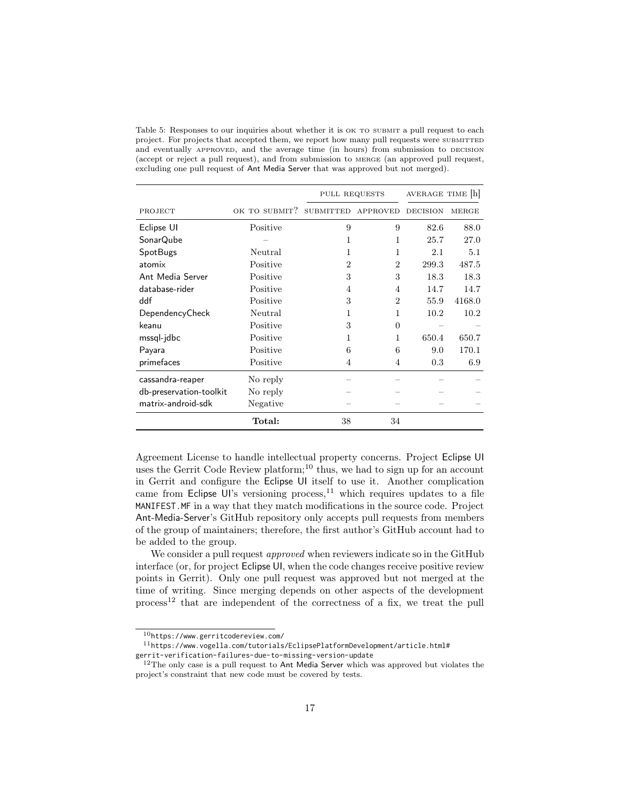Table 5: Responses to our inquiries about whether it is  $OK$  to submit a pull request to each project. For projects that accepted them, we report how many pull requests were SUBMITTED and eventually APPROVED, and the average time (in hours) from submission to DECISION (accept or reject a pull request), and from submission to merge (an approved pull request, excluding one pull request of Ant Media Server that was approved but not merged).

|                         |               | PULL REQUESTS  |                 | AVERAGE TIME  h |        |
|-------------------------|---------------|----------------|-----------------|-----------------|--------|
| PROJECT                 | OK TO SUBMIT? | SUBMITTED      | <b>APPROVED</b> | <b>DECISION</b> | MERGE  |
| Eclipse UI              | Positive      | 9              | 9               | 82.6            | 88.0   |
| SonarQube               |               | 1              | 1               | 25.7            | 27.0   |
| SpotBugs                | Neutral       | 1              | 1               | 2.1             | 5.1    |
| atomix                  | Positive      | $\overline{2}$ | $\overline{2}$  | 299.3           | 487.5  |
| Ant Media Server        | Positive      | 3              | 3               | 18.3            | 18.3   |
| database-rider          | Positive      | 4              | 4               | 14.7            | 14.7   |
| ddf                     | Positive      | 3              | $\mathfrak{D}$  | 55.9            | 4168.0 |
| DependencyCheck         | Neutral       | 1              | 1               | 10.2            | 10.2   |
| keanu                   | Positive      | 3              | $\Omega$        |                 |        |
| mssql-jdbc              | Positive      | 1              | 1               | 650.4           | 650.7  |
| Payara                  | Positive      | 6              | 6               | 9.0             | 170.1  |
| primefaces              | Positive      | 4              | 4               | 0.3             | 6.9    |
| cassandra-reaper        | No reply      |                |                 |                 |        |
| db-preservation-toolkit | No reply      |                |                 |                 |        |
| matrix-android-sdk      | Negative      |                |                 |                 |        |
|                         | Total:        | 38             | 34              |                 |        |

Agreement License to handle intellectual property concerns. Project Eclipse UI uses the Gerrit Code Review platform;<sup>10</sup> thus, we had to sign up for an account in Gerrit and configure the Eclipse UI itself to use it. Another complication came from Eclipse UI's versioning process, $11$  which requires updates to a file MANIFEST.MF in a way that they match modifications in the source code. Project Ant-Media-Server's GitHub repository only accepts pull requests from members of the group of maintainers; therefore, the first author's GitHub account had to be added to the group.

We consider a pull request *approved* when reviewers indicate so in the GitHub interface (or, for project Eclipse UI, when the code changes receive positive review points in Gerrit). Only one pull request was approved but not merged at the time of writing. Since merging depends on other aspects of the development  $\gamma$  process<sup>12</sup> that are independent of the correctness of a fix, we treat the pull

<sup>11</sup>https://www.vogella.com/tutorials/EclipsePlatformDevelopment/article.html# gerrit-verification-failures-due-to-missing-version-update

<sup>10</sup>https://www.gerritcodereview.com/

<sup>&</sup>lt;sup>12</sup>The only case is a pull request to Ant Media Server which was approved but violates the project's constraint that new code must be covered by tests.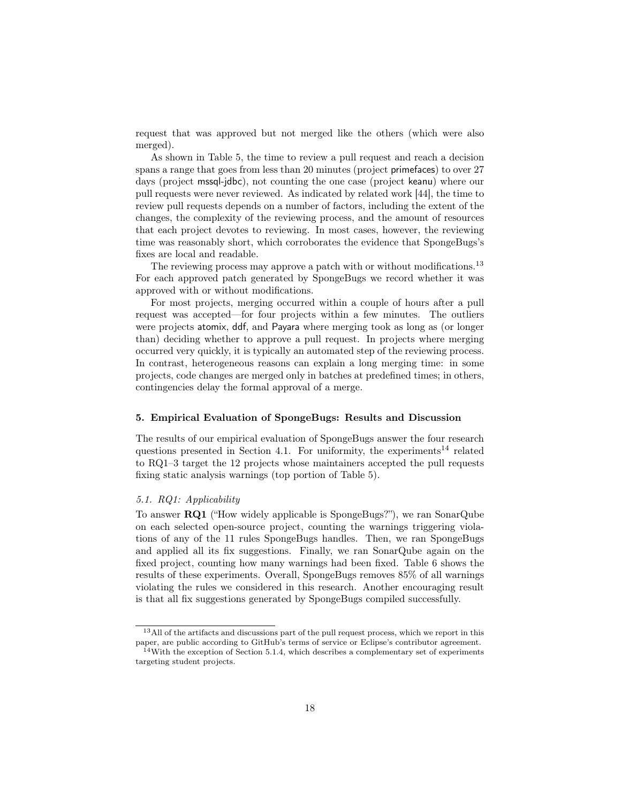request that was approved but not merged like the others (which were also merged).

As shown in Table 5, the time to review a pull request and reach a decision spans a range that goes from less than 20 minutes (project primefaces) to over 27 days (project mssql-jdbc), not counting the one case (project keanu) where our pull requests were never reviewed. As indicated by related work [44], the time to review pull requests depends on a number of factors, including the extent of the changes, the complexity of the reviewing process, and the amount of resources that each project devotes to reviewing. In most cases, however, the reviewing time was reasonably short, which corroborates the evidence that SpongeBugs's fixes are local and readable.

The reviewing process may approve a patch with or without modifications.<sup>13</sup> For each approved patch generated by SpongeBugs we record whether it was approved with or without modifications.

For most projects, merging occurred within a couple of hours after a pull request was accepted—for four projects within a few minutes. The outliers were projects atomix, ddf, and Payara where merging took as long as (or longer than) deciding whether to approve a pull request. In projects where merging occurred very quickly, it is typically an automated step of the reviewing process. In contrast, heterogeneous reasons can explain a long merging time: in some projects, code changes are merged only in batches at predefined times; in others, contingencies delay the formal approval of a merge.

# 5. Empirical Evaluation of SpongeBugs: Results and Discussion

The results of our empirical evaluation of SpongeBugs answer the four research questions presented in Section 4.1. For uniformity, the experiments<sup>14</sup> related to RQ1–3 target the 12 projects whose maintainers accepted the pull requests fixing static analysis warnings (top portion of Table 5).

## 5.1. RQ1: Applicability

To answer RQ1 ("How widely applicable is SpongeBugs?"), we ran SonarQube on each selected open-source project, counting the warnings triggering violations of any of the 11 rules SpongeBugs handles. Then, we ran SpongeBugs and applied all its fix suggestions. Finally, we ran SonarQube again on the fixed project, counting how many warnings had been fixed. Table 6 shows the results of these experiments. Overall, SpongeBugs removes 85% of all warnings violating the rules we considered in this research. Another encouraging result is that all fix suggestions generated by SpongeBugs compiled successfully.

<sup>13</sup>All of the artifacts and discussions part of the pull request process, which we report in this paper, are public according to GitHub's terms of service or Eclipse's contributor agreement.

 $14$ With the exception of Section 5.1.4, which describes a complementary set of experiments targeting student projects.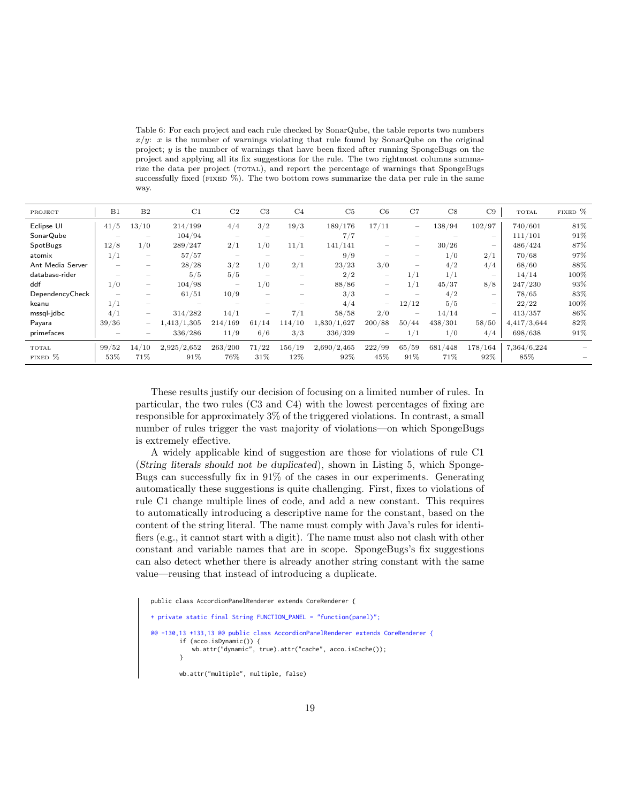Table 6: For each project and each rule checked by SonarQube, the table reports two numbers  $x/y$ : x is the number of warnings violating that rule found by SonarQube on the original project; y is the number of warnings that have been fixed after running SpongeBugs on the project and applying all its fix suggestions for the rule. The two rightmost columns summarize the data per project (TOTAL), and report the percentage of warnings that SpongeBugs successfully fixed ( $FIXED$ %). The two bottom rows summarize the data per rule in the same way.

| PROJECT          | B1                              | B <sub>2</sub>                        | C1          | C <sub>2</sub>                  | C <sub>3</sub>    | C <sub>4</sub>                  | C5          | C6                | C7                              | C8         | C9                              | <b>TOTAL</b> | FIXED % |
|------------------|---------------------------------|---------------------------------------|-------------|---------------------------------|-------------------|---------------------------------|-------------|-------------------|---------------------------------|------------|---------------------------------|--------------|---------|
| Eclipse UI       | 41/5                            | 13/10                                 | 214/199     | 4/4                             | 3/2               | 19/3                            | 189/176     | 17/11             | $\qquad \qquad$                 | 138/94     | 102/97                          | 740/601      | 81\%    |
| SonarQube        |                                 | $\hspace{0.05cm}$                     | 104/94      | $\hspace{0.1mm}$                | $\sim$            | $\hspace{0.1mm}-\hspace{0.1mm}$ | 7/7         |                   |                                 |            | $\sim$                          | 111/101      | 91%     |
| SpotBugs         | 12/8                            | 1/0                                   | 289/247     | 2/1                             | 1/0               | 11/1                            | 141/141     |                   | $\hspace{0.1mm}-\hspace{0.1mm}$ | 30/26      | $\hspace{0.05cm}$               | 486/424      | 87%     |
| atomix           | 1/1                             | $\hspace{0.05cm}$                     | 57/57       | $\hspace{0.1mm}-\hspace{0.1mm}$ | $\hspace{0.05cm}$ | $\hspace{0.1mm}-\hspace{0.1mm}$ | 9/9         |                   | -                               | 1/0        | 2/1                             | 70/68        | 97%     |
| Ant Media Server |                                 |                                       | 28/28       | 3/2                             | 1/0               | 2/1                             | 23/23       | 3/0               | $\hspace{0.1mm}-\hspace{0.1mm}$ | 4/2        | 4/4                             | 68/60        | 88%     |
| database-rider   | $\hspace{0.1mm}-\hspace{0.1mm}$ | $\hspace{1.0cm} \rule{1.5cm}{0.15cm}$ | 5/5         | 5/5                             | $\hspace{0.05cm}$ | $\hspace{0.1mm}-\hspace{0.1mm}$ | 2/2         |                   | 1/1                             | 1/1        | $\hspace{0.05cm}$               | 14/14        | 100%    |
| ddf              | 1/0                             | $\hspace{0.1mm}-\hspace{0.1mm}$       | 104/98      |                                 | 1/0               | $\hspace{0.05cm}$               | 88/86       | $\qquad \qquad$   | 1/1                             | 45/37      | 8/8                             | 247/230      | 93%     |
| DependencyCheck  |                                 | $\hspace{1.0cm} \rule{1.5cm}{0.15cm}$ | 61/51       | 10/9                            | $\qquad \qquad$   | $\overline{\phantom{0}}$        | 3/3         |                   |                                 | 4/2        | $\hspace{0.1mm}-\hspace{0.1mm}$ | 78/65        | 83%     |
| keanu            | 1/1                             | $\hspace{0.05cm}$                     |             |                                 |                   |                                 | 4/4         | $\qquad \qquad -$ | 12/12                           | 5/5        | $\hspace{0.1mm}-\hspace{0.1mm}$ | 22/22        | 100%    |
| mssql-jdbc       | 4/1                             | $\hspace{0.05cm}$                     | 314/282     | 14/1                            |                   | 7/1                             | 58/58       | 2/0               | $\hspace{0.1mm}-\hspace{0.1mm}$ | 14/14      | $\hspace{0.05cm}$               | 413/357      | 86%     |
| Payara           | 39/36                           | $\hspace{0.1mm}-\hspace{0.1mm}$       | 1,413/1,305 | 214/169                         | 61/14             | 114/10                          | 1,830/1,627 | 200/88            | 50/44                           | 438/301    | 58/50                           | 4,417/3,644  | 82%     |
| primefaces       |                                 |                                       | 336/286     | 11/9                            | 6/6               | 3/3                             | 336/329     | $\hspace{0.05cm}$ | 1/1                             | 1/0        | 4/4                             | 698/638      | 91%     |
| <b>TOTAL</b>     | 99/52                           | 14/10                                 | 2,925/2,652 | $\sqrt{200}$<br>263/            | 71/22             | 156/19                          | 2,690/2,465 | 222/99            | 65/59                           | 681<br>448 | 178/164                         | 7,364/6,224  |         |
| FIXED %          | 53%                             | 71%                                   | 91%         | 76%                             | 31\%              | $12\%$                          | 92%         | 45%               | 91%                             | 71%        | 92%                             | 85%          |         |

These results justify our decision of focusing on a limited number of rules. In particular, the two rules (C3 and C4) with the lowest percentages of fixing are responsible for approximately 3% of the triggered violations. In contrast, a small number of rules trigger the vast majority of violations—on which SpongeBugs is extremely effective.

A widely applicable kind of suggestion are those for violations of rule C1 (String literals should not be duplicated), shown in Listing 5, which Sponge-Bugs can successfully fix in 91% of the cases in our experiments. Generating automatically these suggestions is quite challenging. First, fixes to violations of rule C1 change multiple lines of code, and add a new constant. This requires to automatically introducing a descriptive name for the constant, based on the content of the string literal. The name must comply with Java's rules for identifiers (e.g., it cannot start with a digit). The name must also not clash with other constant and variable names that are in scope. SpongeBugs's fix suggestions can also detect whether there is already another string constant with the same value—reusing that instead of introducing a duplicate.

```
public class AccordionPanelRenderer extends CoreRenderer {
+ private static final String FUNCTION_PANEL = "function(panel)";
@@ -130,13 +133,13 @@ public class AccordionPanelRenderer extends CoreRenderer {
        if (acco.isDynamic()) {
           wb.attr("dynamic", true).attr("cache", acco.isCache());
        }
        wb.attr("multiple", multiple, false)
```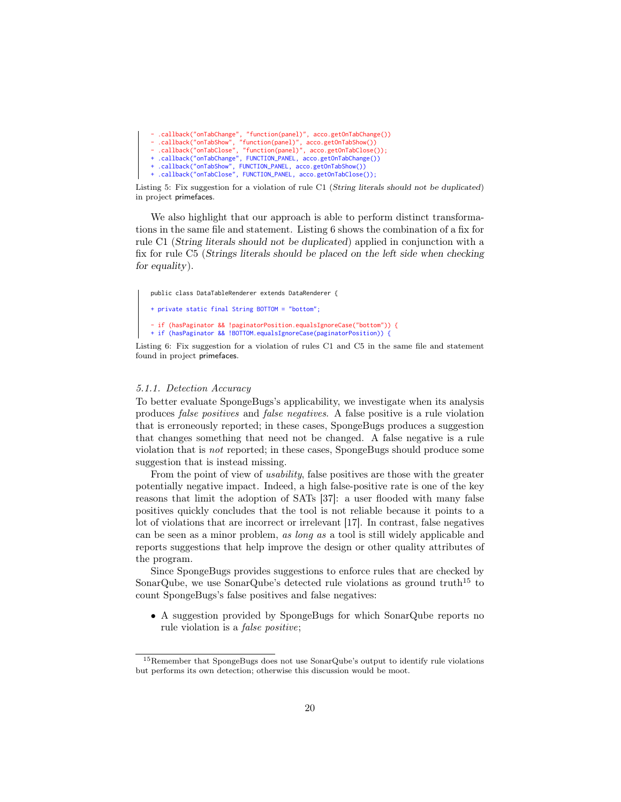- .callback("onTabChange", "function(panel)", acco.getOnTabChange())<br>- .callback("onTabShow", "function(panel)", acco.getOnTabShow())<br>- .callback("onTabClose", "function(panel)", acco.getOnTabClose());<br>+ .callback("onTabCh + .callback("onTabShow", FUNCTION\_PANEL, acco.getOnTabShow()) + .callback("onTabClose", FUNCTION\_PANEL, acco.getOnTabClose());

Listing 5: Fix suggestion for a violation of rule C1 (String literals should not be duplicated) in project primefaces.

We also highlight that our approach is able to perform distinct transformations in the same file and statement. Listing 6 shows the combination of a fix for rule C1 (String literals should not be duplicated) applied in conjunction with a fix for rule C5 (Strings literals should be placed on the left side when checking for equality).

public class DataTableRenderer extends DataRenderer { + private static final String BOTTOM = "bottom"; - if (hasPaginator && !paginatorPosition.equalsIgnoreCase("bottom")) { + if (hasPaginator && !BOTTOM.equalsIgnoreCase(paginatorPosition)) {

Listing 6: Fix suggestion for a violation of rules C1 and C5 in the same file and statement found in project primefaces.

# 5.1.1. Detection Accuracy

To better evaluate SpongeBugs's applicability, we investigate when its analysis produces false positives and false negatives. A false positive is a rule violation that is erroneously reported; in these cases, SpongeBugs produces a suggestion that changes something that need not be changed. A false negative is a rule violation that is not reported; in these cases, SpongeBugs should produce some suggestion that is instead missing.

From the point of view of *usability*, false positives are those with the greater potentially negative impact. Indeed, a high false-positive rate is one of the key reasons that limit the adoption of SATs [37]: a user flooded with many false positives quickly concludes that the tool is not reliable because it points to a lot of violations that are incorrect or irrelevant [17]. In contrast, false negatives can be seen as a minor problem, as long as a tool is still widely applicable and reports suggestions that help improve the design or other quality attributes of the program.

Since SpongeBugs provides suggestions to enforce rules that are checked by SonarQube, we use SonarQube's detected rule violations as ground truth<sup>15</sup> to count SpongeBugs's false positives and false negatives:

• A suggestion provided by SpongeBugs for which SonarQube reports no rule violation is a false positive;

<sup>15</sup>Remember that SpongeBugs does not use SonarQube's output to identify rule violations but performs its own detection; otherwise this discussion would be moot.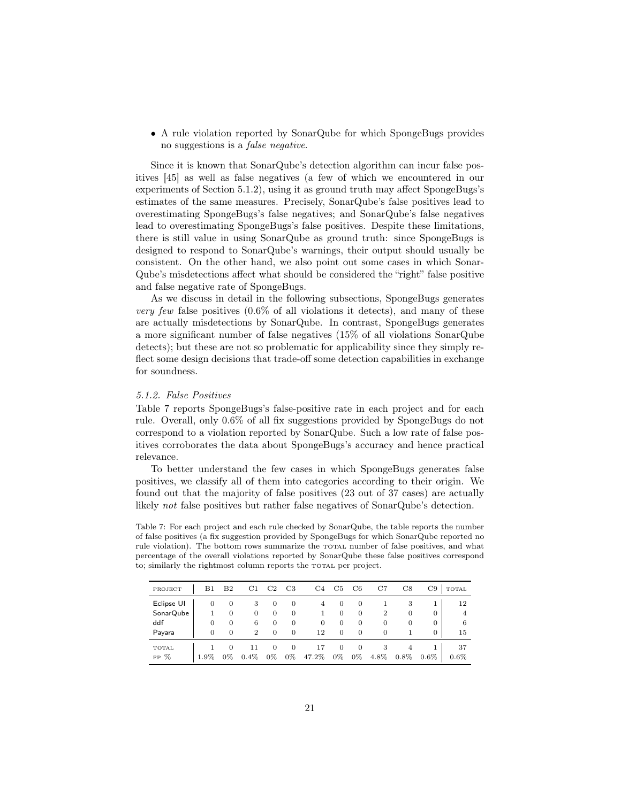• A rule violation reported by SonarQube for which SpongeBugs provides no suggestions is a false negative.

Since it is known that SonarQube's detection algorithm can incur false positives [45] as well as false negatives (a few of which we encountered in our experiments of Section 5.1.2), using it as ground truth may affect SpongeBugs's estimates of the same measures. Precisely, SonarQube's false positives lead to overestimating SpongeBugs's false negatives; and SonarQube's false negatives lead to overestimating SpongeBugs's false positives. Despite these limitations, there is still value in using SonarQube as ground truth: since SpongeBugs is designed to respond to SonarQube's warnings, their output should usually be consistent. On the other hand, we also point out some cases in which Sonar-Qube's misdetections affect what should be considered the "right" false positive and false negative rate of SpongeBugs.

As we discuss in detail in the following subsections, SpongeBugs generates *very few false positives*  $(0.6\% \text{ of all violations it detects})$ , and many of these are actually misdetections by SonarQube. In contrast, SpongeBugs generates a more significant number of false negatives (15% of all violations SonarQube detects); but these are not so problematic for applicability since they simply reflect some design decisions that trade-off some detection capabilities in exchange for soundness.

# 5.1.2. False Positives

Table 7 reports SpongeBugs's false-positive rate in each project and for each rule. Overall, only 0.6% of all fix suggestions provided by SpongeBugs do not correspond to a violation reported by SonarQube. Such a low rate of false positives corroborates the data about SpongeBugs's accuracy and hence practical relevance.

To better understand the few cases in which SpongeBugs generates false positives, we classify all of them into categories according to their origin. We found out that the majority of false positives (23 out of 37 cases) are actually likely not false positives but rather false negatives of SonarQube's detection.

Table 7: For each project and each rule checked by SonarQube, the table reports the number of false positives (a fix suggestion provided by SpongeBugs for which SonarQube reported no rule violation). The bottom rows summarize the TOTAL number of false positives, and what percentage of the overall violations reported by SonarQube these false positives correspond to; similarly the rightmost column reports the TOTAL per project.

| PROJECT    | B1       | B2           | $_{\rm C1}$ | C <sub>2</sub> | C3       | C <sub>4</sub> | C5       | C <sub>6</sub> | $_{\rm C7}$    | C8       | C9           | TOTAL          |
|------------|----------|--------------|-------------|----------------|----------|----------------|----------|----------------|----------------|----------|--------------|----------------|
| Eclipse UI |          | $\mathbf{0}$ | 3           | $\Omega$       | $\Omega$ | 4              |          | 0              |                | 3        |              | 12             |
| SonarQube  |          | $\mathbf{0}$ | $\theta$    | 0              | $\theta$ |                | $\Omega$ | $\theta$       | $\overline{2}$ | $\Omega$ | $\theta$     | $\overline{4}$ |
| ddf        | $\Omega$ | $\theta$     | 6           | $\theta$       | $\theta$ | $\theta$       | $\theta$ | $\theta$       | $\theta$       | $\Omega$ | $\theta$     | 6              |
| Payara     | $\Omega$ | $\theta$     | 2           | $\Omega$       | $\theta$ | 12             | $\theta$ | $\theta$       | $\theta$       |          | $\mathbf{0}$ | 15             |
| TOTAL      |          | $\Omega$     | 11          |                | 0        | 17             |          | 0              | 3              |          |              | 37             |
| $FP$ %     | $1.9\%$  | $0\%$        | 0.4%        | $0\%$          | $0\%$    | 47.2%          | $0\%$    | $0\%$          | 4.8%           | $0.8\%$  | $0.6\%$      | $0.6\%$        |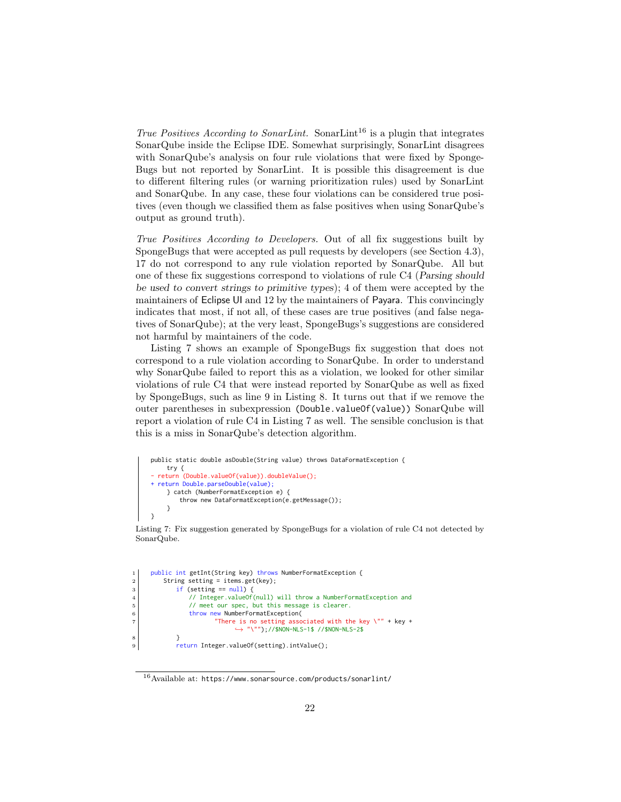True Positives According to SonarLint. SonarLint<sup>16</sup> is a plugin that integrates SonarQube inside the Eclipse IDE. Somewhat surprisingly, SonarLint disagrees with SonarQube's analysis on four rule violations that were fixed by Sponge-Bugs but not reported by SonarLint. It is possible this disagreement is due to different filtering rules (or warning prioritization rules) used by SonarLint and SonarQube. In any case, these four violations can be considered true positives (even though we classified them as false positives when using SonarQube's output as ground truth).

True Positives According to Developers. Out of all fix suggestions built by SpongeBugs that were accepted as pull requests by developers (see Section 4.3), 17 do not correspond to any rule violation reported by SonarQube. All but one of these fix suggestions correspond to violations of rule C4 (Parsing should be used to convert strings to primitive types); 4 of them were accepted by the maintainers of Eclipse UI and 12 by the maintainers of Payara. This convincingly indicates that most, if not all, of these cases are true positives (and false negatives of SonarQube); at the very least, SpongeBugs's suggestions are considered not harmful by maintainers of the code.

Listing 7 shows an example of SpongeBugs fix suggestion that does not correspond to a rule violation according to SonarQube. In order to understand why SonarQube failed to report this as a violation, we looked for other similar violations of rule C4 that were instead reported by SonarQube as well as fixed by SpongeBugs, such as line 9 in Listing 8. It turns out that if we remove the outer parentheses in subexpression (Double.valueOf(value)) SonarQube will report a violation of rule C4 in Listing 7 as well. The sensible conclusion is that this is a miss in SonarQube's detection algorithm.

```
public static double asDouble(String value) throws DataFormatException {
    try {
  return (Double.valueOf(value)).doubleValue();
+ return Double.parseDouble(value);
    } catch (NumberFormatException e) {
       throw new DataFormatException(e.getMessage());
    }
}
```
Listing 7: Fix suggestion generated by SpongeBugs for a violation of rule C4 not detected by SonarQube.

```
1 public int getInt(String key) throws NumberFormatException {
2 String setting = items.get(key);
3 if (setting == null) {
4 // Integer.valueOf(null) will throw a NumberFormatException and
5 // meet our spec, but this message is clearer.
6 throw new NumberFormatException<br>There is no setting associated
                       "There is no setting associated with the key \mathcal{N}''' + key +
                           \rightarrow "\"");//$NON-NLS-1$ //$NON-NLS-2$
8 }
8 }<br>9 return Integer.valueOf(setting).intValue();
```
 $^{16}\mathrm{Available}$  at: <code>https://www.sonarsource.com/products/sonarlint/</code>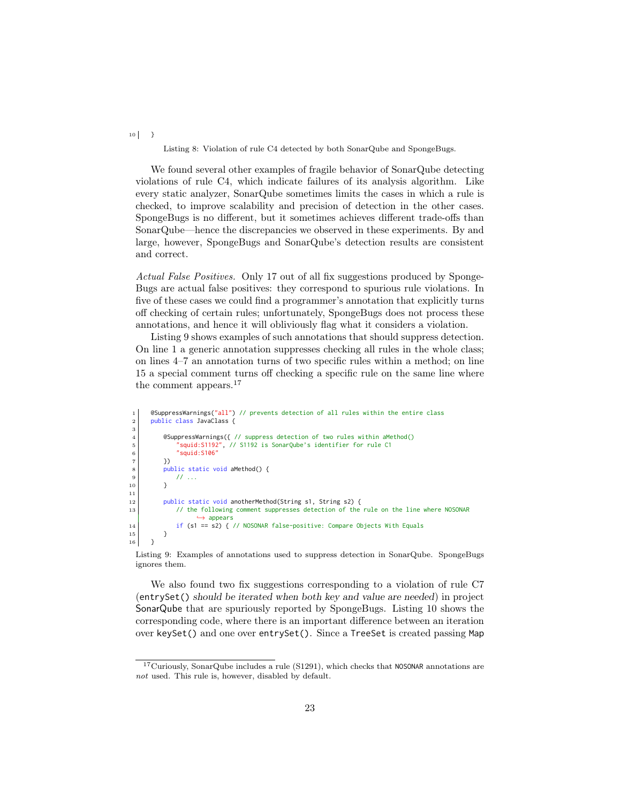Listing 8: Violation of rule C4 detected by both SonarQube and SpongeBugs.

We found several other examples of fragile behavior of SonarQube detecting violations of rule C4, which indicate failures of its analysis algorithm. Like every static analyzer, SonarQube sometimes limits the cases in which a rule is checked, to improve scalability and precision of detection in the other cases. SpongeBugs is no different, but it sometimes achieves different trade-offs than SonarQube—hence the discrepancies we observed in these experiments. By and large, however, SpongeBugs and SonarQube's detection results are consistent and correct.

Actual False Positives. Only 17 out of all fix suggestions produced by Sponge-Bugs are actual false positives: they correspond to spurious rule violations. In five of these cases we could find a programmer's annotation that explicitly turns off checking of certain rules; unfortunately, SpongeBugs does not process these annotations, and hence it will obliviously flag what it considers a violation.

Listing 9 shows examples of such annotations that should suppress detection. On line 1 a generic annotation suppresses checking all rules in the whole class; on lines 4–7 an annotation turns of two specific rules within a method; on line 15 a special comment turns off checking a specific rule on the same line where the comment appears.<sup>17</sup>

```
1 @SuppressWarnings("all") // prevents detection of all rules within the entire class
2 public class JavaClass {
 3
 4 @SuppressWarnings({ // suppress detection of two rules within aMethod()
 5 "squid:S1192", // S1192 is SonarQube's identifier for rule C1
 \begin{bmatrix} 6 \\ 7 \end{bmatrix} "squid: $106"
          7 })
\begin{bmatrix} 8 \\ 9 \end{bmatrix} public static void aMethod() {
             H \ldots10 }
11
12 public static void anotherMethod(String s1, String s2) {
13 // the following comment suppresses detection of the rule on the line where NOSONAR
                   ightharpoonup appears
14 if (s1 == s2) { // NOSONAR false-positive: Compare Objects With Equals
15 }
16 }
```
Listing 9: Examples of annotations used to suppress detection in SonarQube. SpongeBugs ignores them.

We also found two fix suggestions corresponding to a violation of rule C7 (entrySet() should be iterated when both key and value are needed) in project SonarQube that are spuriously reported by SpongeBugs. Listing 10 shows the corresponding code, where there is an important difference between an iteration over keySet() and one over entrySet(). Since a TreeSet is created passing Map

10 }

 $17$ Curiously, SonarQube includes a rule (S1291), which checks that NOSONAR annotations are not used. This rule is, however, disabled by default.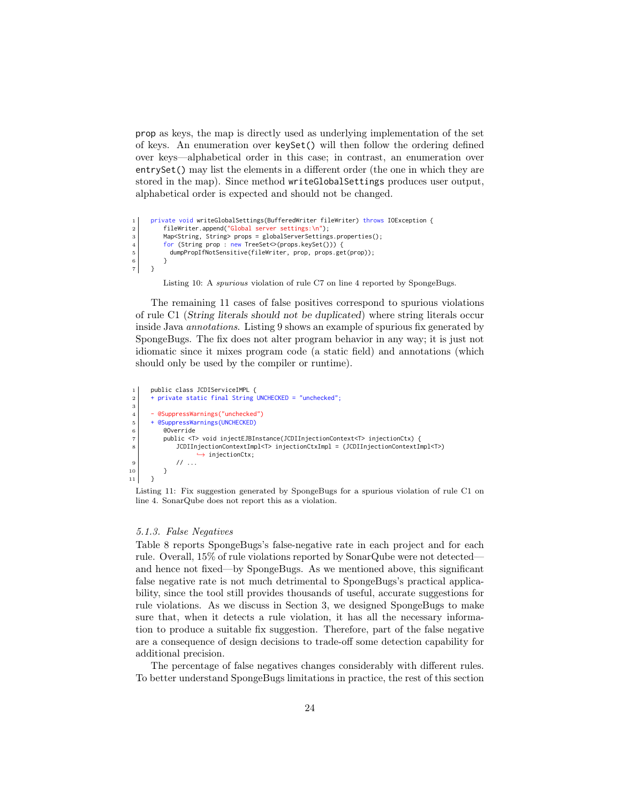prop as keys, the map is directly used as underlying implementation of the set of keys. An enumeration over keySet() will then follow the ordering defined over keys—alphabetical order in this case; in contrast, an enumeration over entrySet() may list the elements in a different order (the one in which they are stored in the map). Since method writeGlobalSettings produces user output, alphabetical order is expected and should not be changed.

```
1 private void writeGlobalSettings(BufferedWriter fileWriter) throws IOException {
2 fileWriter.append("Global server settings:\n");
3 Map<String, String> props = globalServerSettings.properties();
4 for (String prop : new TreeSet <> (props.keySet())) {
5 dumpPropIfNotSensitive(fileWriter, prop, props.get(prop));
\begin{array}{c|c}\n6 & & \rightarrow \\
7 & & \rightarrow\n\end{array}7 }
```
#### Listing 10: A spurious violation of rule C7 on line 4 reported by SpongeBugs.

The remaining 11 cases of false positives correspond to spurious violations of rule C1 (String literals should not be duplicated) where string literals occur inside Java annotations. Listing 9 shows an example of spurious fix generated by SpongeBugs. The fix does not alter program behavior in any way; it is just not idiomatic since it mixes program code (a static field) and annotations (which should only be used by the compiler or runtime).

```
1 | public class JCDIServiceIMPL {
 2 \mid + private static final String UNCHECKED = "unchecked";
 3
 4 - @SuppressWarnings("unchecked")<br>
+ @SuppressWarnings(UNCHECKED)
        5 + @SuppressWarnings(UNCHECKED)
 \begin{array}{c|c}\n6 & \text{Quorride} \\
7 & \text{public} & \text{The} \\
\end{array}7 public <T> void injectEJBInstance(JCDIInjectionContext<T> injectionCtx) {
 8 JCDIInjectionContextImpl<T> injectionCtxImpl = (JCDIInjectionContextImpl<T>)
                          ֒→ injectionCtx;
 9 \mid // ...
\begin{array}{c|c} 10 & & 3 \\ 11 & & 3 \end{array}11 }
```
Listing 11: Fix suggestion generated by SpongeBugs for a spurious violation of rule C1 on line 4. SonarQube does not report this as a violation.

#### 5.1.3. False Negatives

Table 8 reports SpongeBugs's false-negative rate in each project and for each rule. Overall, 15% of rule violations reported by SonarQube were not detected and hence not fixed—by SpongeBugs. As we mentioned above, this significant false negative rate is not much detrimental to SpongeBugs's practical applicability, since the tool still provides thousands of useful, accurate suggestions for rule violations. As we discuss in Section 3, we designed SpongeBugs to make sure that, when it detects a rule violation, it has all the necessary information to produce a suitable fix suggestion. Therefore, part of the false negative are a consequence of design decisions to trade-off some detection capability for additional precision.

The percentage of false negatives changes considerably with different rules. To better understand SpongeBugs limitations in practice, the rest of this section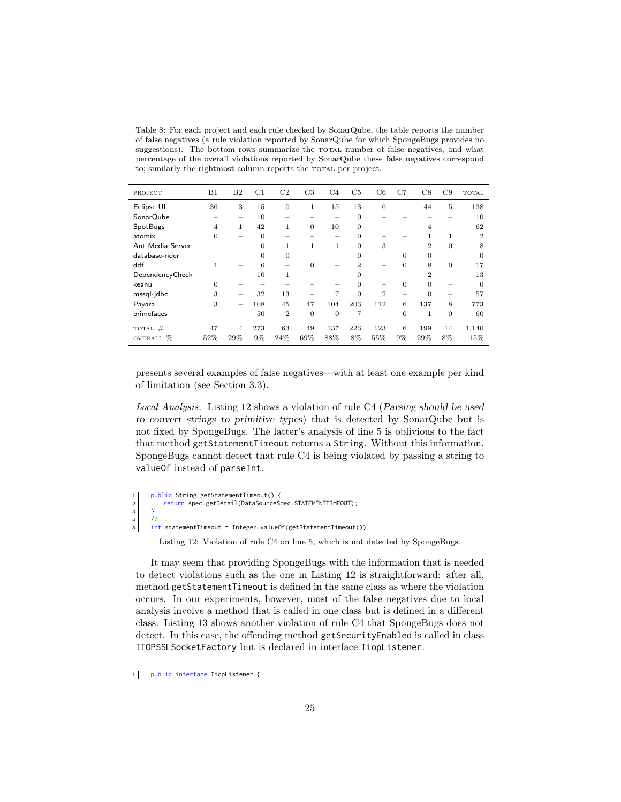Table 8: For each project and each rule checked by SonarQube, the table reports the number of false negatives (a rule violation reported by SonarQube for which SpongeBugs provides no suggestions). The bottom rows summarize the TOTAL number of false negatives, and what percentage of the overall violations reported by SonarQube these false negatives correspond to; similarly the rightmost column reports the TOTAL per project.

| PROJECT          | B1             | B <sub>2</sub>                  | C1       | C <sub>2</sub>           | C <sub>3</sub>           | C <sub>4</sub>           | C5             | C6                       | C7                       | C8           | C9             | <b>TOTAL</b>   |
|------------------|----------------|---------------------------------|----------|--------------------------|--------------------------|--------------------------|----------------|--------------------------|--------------------------|--------------|----------------|----------------|
| Eclipse UI       | 36             | 3                               | 15       | $\overline{0}$           | 1                        | 15                       | 13             | 6                        |                          | 44           | 5              | 138            |
| SonarQube        |                | $\overline{\phantom{a}}$        | 10       | $\overline{\phantom{a}}$ | $\sim$                   | $\sim$                   | $\overline{0}$ | $\sim$                   |                          |              | -              | 10             |
| SpotBugs         | $\overline{4}$ | $\mathbf{1}$                    | 42       | 1                        | $\overline{0}$           | 10                       | $\theta$       | -                        |                          | 4            | -              | 62             |
| atomix           | $\overline{0}$ | $\overline{\phantom{a}}$        | $\Omega$ | -                        |                          | $\overline{\phantom{a}}$ | $\overline{0}$ | $\sim$                   |                          |              | 1              | $\overline{2}$ |
| Ant Media Server |                |                                 | $\Omega$ | 1                        | 1                        | $\mathbf{1}$             | $\theta$       | 3                        |                          | $\mathbf{2}$ | $\Omega$       | 8              |
| database-rider   |                | $\overline{\phantom{a}}$        | $\Omega$ | $\Omega$                 | $\sim$                   | $\overline{\phantom{a}}$ | $\Omega$       | $\overline{\phantom{a}}$ | $\Omega$                 | $\Omega$     | -              | $\Omega$       |
| ddf              | $\mathbf{1}$   | $\overline{\phantom{a}}$        | 6        | -                        | $\overline{0}$           | $\overline{\phantom{a}}$ | $\overline{2}$ | $\overline{\phantom{a}}$ | $\Omega$                 | 8            | $\Omega$       | 17             |
| DependencyCheck  |                | $\overline{\phantom{a}}$        | 10       | 1                        | $\overline{\phantom{a}}$ | $\overline{\phantom{a}}$ | $\theta$       | $\sim$                   |                          | $\mathbf{2}$ | -              | 13             |
| keanu            | $\overline{0}$ |                                 |          |                          |                          |                          | $\Omega$       | $\overline{\phantom{a}}$ | $\theta$                 | $\Omega$     | -              | $\Omega$       |
| mssql-jdbc       | 3              | $\hspace{0.1mm}-\hspace{0.1mm}$ | 32       | 13                       | $\sim$                   | 7                        | $\Omega$       | $\mathfrak{D}$           | $\overline{\phantom{a}}$ | $\Omega$     | $\sim$         | 57             |
| Payara           | 3              |                                 | 108      | 45                       | 47                       | 104                      | 203            | 112                      | 6                        | 137          | 8              | 773            |
| primefaces       |                |                                 | 50       | $\overline{2}$           | $\overline{0}$           | $\theta$                 | 7              | $\sim$                   | $\theta$                 | 1            | $\overline{0}$ | 60             |
| TOTAL #          | 47             | $\overline{4}$                  | 273      | 63                       | 49                       | 137                      | 223            | 123                      | 6                        | 199          | 14             | 1,140          |
| OVERALL %        | 52%            | 29%                             | 9%       | 24%                      | 69%                      | 88%                      | 8%             | 55%                      | 9%                       | 29%          | 8%             | 15%            |

presents several examples of false negatives—with at least one example per kind of limitation (see Section 3.3).

Local Analysis. Listing 12 shows a violation of rule C4 (Parsing should be used to convert strings to primitive types) that is detected by SonarQube but is not fixed by SpongeBugs. The latter's analysis of line 5 is oblivious to the fact that method getStatementTimeout returns a String. Without this information, SpongeBugs cannot detect that rule C4 is being violated by passing a string to valueOf instead of parseInt.

```
1 public String getStatementTimeout() {<br>return spec.getDetail(DataSourceS<sub>1</sub>
              2 return spec.getDetail(DataSourceSpec.STATEMENTTIMEOUT);
\begin{array}{c|c} 3 & \end{array}\begin{array}{c|c} 4 & \end{array} // ...
        int statementTimeout = Integer.valueOf(getStatementTimeout());
```
Listing 12: Violation of rule C4 on line 5, which is not detected by SpongeBugs.

It may seem that providing SpongeBugs with the information that is needed to detect violations such as the one in Listing 12 is straightforward: after all, method getStatementTimeout is defined in the same class as where the violation occurs. In our experiments, however, most of the false negatives due to local analysis involve a method that is called in one class but is defined in a different class. Listing 13 shows another violation of rule C4 that SpongeBugs does not detect. In this case, the offending method getSecurityEnabled is called in class IIOPSSLSocketFactory but is declared in interface IiopListener.

<sup>1 |</sup> public interface IiopListener {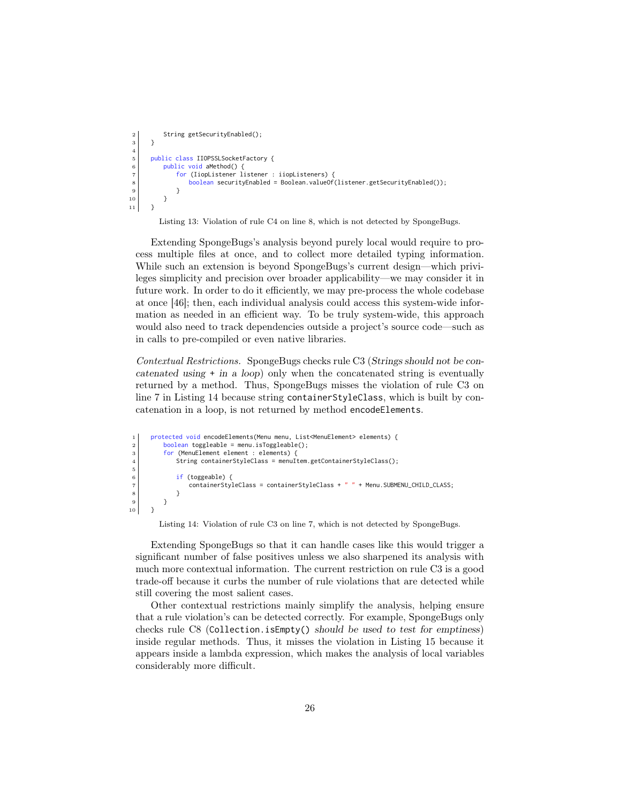```
2 String getSecurityEnabled();
3 \mid \quad \}\begin{array}{c} 4 \\ 5 \\ 6 \\ 7 \\ 8 \end{array}public class IIOPSSLSocketFactory {
           6 public void aMethod() {
               7 for (IiopListener listener : iiopListeners) {
                   8 boolean securityEnabled = Boolean.valueOf(listener.getSecurityEnabled());
 9 }
10 }
11 }
```
Listing 13: Violation of rule C4 on line 8, which is not detected by SpongeBugs.

Extending SpongeBugs's analysis beyond purely local would require to process multiple files at once, and to collect more detailed typing information. While such an extension is beyond SpongeBugs's current design—which privileges simplicity and precision over broader applicability—we may consider it in future work. In order to do it efficiently, we may pre-process the whole codebase at once [46]; then, each individual analysis could access this system-wide information as needed in an efficient way. To be truly system-wide, this approach would also need to track dependencies outside a project's source code—such as in calls to pre-compiled or even native libraries.

Contextual Restrictions. SpongeBugs checks rule C3 (Strings should not be concatenated using + in a loop) only when the concatenated string is eventually returned by a method. Thus, SpongeBugs misses the violation of rule C3 on line 7 in Listing 14 because string containerStyleClass, which is built by concatenation in a loop, is not returned by method encodeElements.

```
1 protected void encodeElements(Menu menu, List<MenuElement> elements) {
 2 \mid boolean toggleable = menu.isToggleable();
 3 for (MenuElement element : elements) {<br>String containerStyleClass = menuI
                 String containerStyleClass = menuItem.getContainerStyleClass();
 ^5 6 \,\begin{array}{c|c} \n6 & \text{if (togeable)} \\ \n7 & \text{containerSty} \n\end{array}7 containerStyleClass = containerStyleClass + " " + Menu.SUBMENU_CHILD_CLASS;
 8 }
 \begin{array}{c|c} 8 & & \\ 9 & & \end{array}10 \mid \quad \}
```
#### Listing 14: Violation of rule C3 on line 7, which is not detected by SpongeBugs.

Extending SpongeBugs so that it can handle cases like this would trigger a significant number of false positives unless we also sharpened its analysis with much more contextual information. The current restriction on rule C3 is a good trade-off because it curbs the number of rule violations that are detected while still covering the most salient cases.

Other contextual restrictions mainly simplify the analysis, helping ensure that a rule violation's can be detected correctly. For example, SpongeBugs only checks rule C8 (Collection.isEmpty() should be used to test for emptiness) inside regular methods. Thus, it misses the violation in Listing 15 because it appears inside a lambda expression, which makes the analysis of local variables considerably more difficult.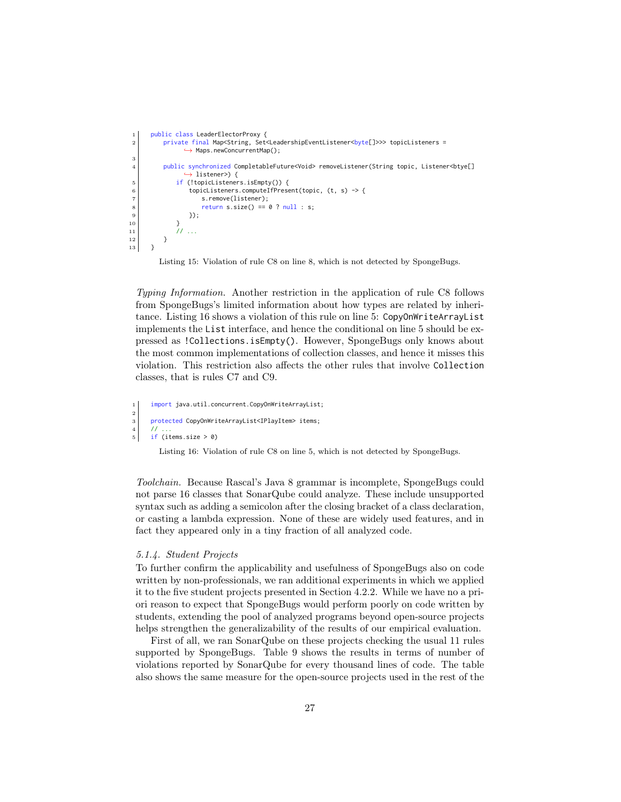```
1 | public class LeaderElectorProxy {
2 private final Map<String, Set<LeadershipEventListener<byte[]>>> topicListeners =
               ֒→ Maps.newConcurrentMap();
 3
 4 public synchronized CompletableFuture<Void> removeListener(String topic, Listener<btye[]
               ֒→ listener>) {
 5 if (!topicListeners.isEmpty()) {
 6 topicListeners.computeIfPresent(topic, (t, s) -> {
 7 s.remove(listener);
\begin{array}{c|c}\n 8 & \text{return } s.size() == 0 ? \text{ null : } s; \\
 9 & \text{?} \n\end{array}9 });
10 }
11 // ...
12 }
13 }
```
Listing 15: Violation of rule C8 on line 8, which is not detected by SpongeBugs.

Typing Information. Another restriction in the application of rule C8 follows from SpongeBugs's limited information about how types are related by inheritance. Listing 16 shows a violation of this rule on line 5: CopyOnWriteArrayList implements the List interface, and hence the conditional on line 5 should be expressed as !Collections.isEmpty(). However, SpongeBugs only knows about the most common implementations of collection classes, and hence it misses this violation. This restriction also affects the other rules that involve Collection classes, that is rules C7 and C9.

```
import java.util.concurrent.CopyOnWriteArrayList;
2
3 protected CopyOnWriteArrayList<IPlayItem> items;
\frac{4}{5}if (items.size > 0)
```
Listing 16: Violation of rule C8 on line 5, which is not detected by SpongeBugs.

Toolchain. Because Rascal's Java 8 grammar is incomplete, SpongeBugs could not parse 16 classes that SonarQube could analyze. These include unsupported syntax such as adding a semicolon after the closing bracket of a class declaration, or casting a lambda expression. None of these are widely used features, and in fact they appeared only in a tiny fraction of all analyzed code.

#### 5.1.4. Student Projects

To further confirm the applicability and usefulness of SpongeBugs also on code written by non-professionals, we ran additional experiments in which we applied it to the five student projects presented in Section 4.2.2. While we have no a priori reason to expect that SpongeBugs would perform poorly on code written by students, extending the pool of analyzed programs beyond open-source projects helps strengthen the generalizability of the results of our empirical evaluation.

First of all, we ran SonarQube on these projects checking the usual 11 rules supported by SpongeBugs. Table 9 shows the results in terms of number of violations reported by SonarQube for every thousand lines of code. The table also shows the same measure for the open-source projects used in the rest of the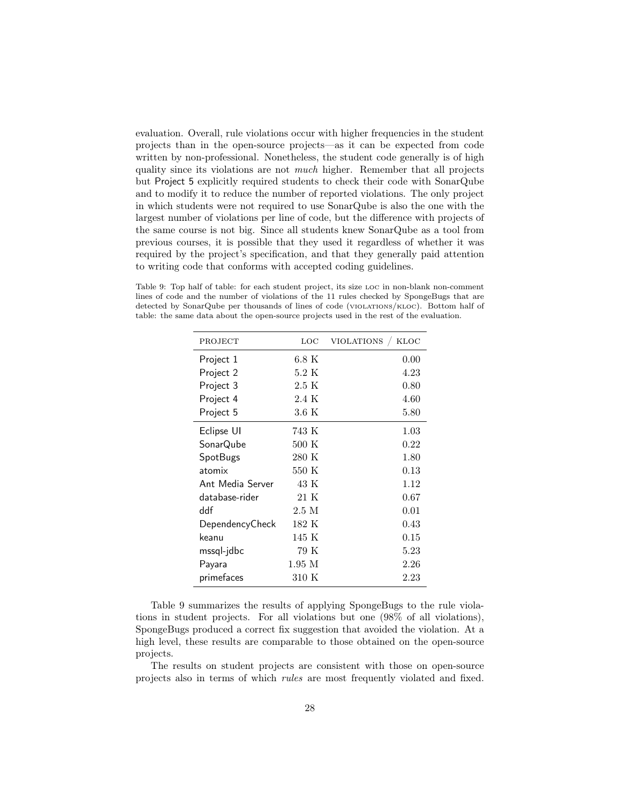evaluation. Overall, rule violations occur with higher frequencies in the student projects than in the open-source projects—as it can be expected from code written by non-professional. Nonetheless, the student code generally is of high quality since its violations are not much higher. Remember that all projects but Project 5 explicitly required students to check their code with SonarQube and to modify it to reduce the number of reported violations. The only project in which students were not required to use SonarQube is also the one with the largest number of violations per line of code, but the difference with projects of the same course is not big. Since all students knew SonarQube as a tool from previous courses, it is possible that they used it regardless of whether it was required by the project's specification, and that they generally paid attention to writing code that conforms with accepted coding guidelines.

Table 9: Top half of table: for each student project, its size loc in non-blank non-comment lines of code and the number of violations of the 11 rules checked by SpongeBugs that are detected by SonarQube per thousands of lines of code (violations/kloc). Bottom half of table: the same data about the open-source projects used in the rest of the evaluation.

| PROJECT          | LOC               | VIOLATIONS / KLOC |
|------------------|-------------------|-------------------|
| Project 1        | $6.8\,\mathrm{K}$ | 0.00              |
| Project 2        | 5.2 K             | 4.23              |
| Project 3        | $2.5\ \mathrm{K}$ | 0.80              |
| Project 4        | 2.4 K             | 4.60              |
| Project 5        | $3.6\;K$          | 5.80              |
| Eclipse UI       | 743 K             | 1.03              |
| SonarQube        | 500K              | 0.22              |
| SpotBugs         | 280 K             | 1.80              |
| atomix           | 550 K             | 0.13              |
| Ant Media Server | 43 K              | 1.12              |
| database-rider   | 21 K              | 0.67              |
| ddf              | $2.5\text{ M}$    | 0.01              |
| DependencyCheck  | 182 K             | 0.43              |
| keanu            | 145 K             | 0.15              |
| mssql-jdbc       | 79 K              | 5.23              |
| Payara           | $1.95$ M          | 2.26              |
| primefaces       | 310 K             | 2.23              |

Table 9 summarizes the results of applying SpongeBugs to the rule violations in student projects. For all violations but one (98% of all violations), SpongeBugs produced a correct fix suggestion that avoided the violation. At a high level, these results are comparable to those obtained on the open-source projects.

The results on student projects are consistent with those on open-source projects also in terms of which rules are most frequently violated and fixed.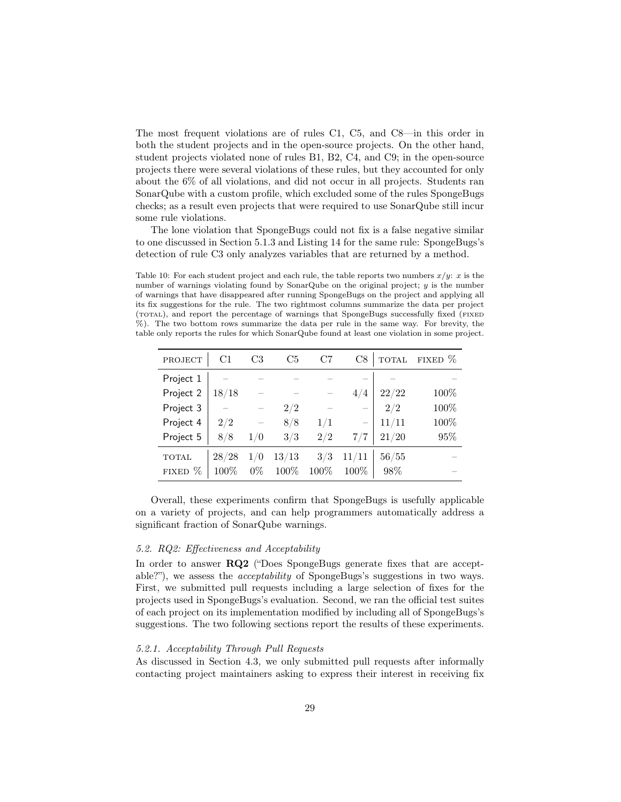The most frequent violations are of rules C1, C5, and C8—in this order in both the student projects and in the open-source projects. On the other hand, student projects violated none of rules B1, B2, C4, and C9; in the open-source projects there were several violations of these rules, but they accounted for only about the 6% of all violations, and did not occur in all projects. Students ran SonarQube with a custom profile, which excluded some of the rules SpongeBugs checks; as a result even projects that were required to use SonarQube still incur some rule violations.

The lone violation that SpongeBugs could not fix is a false negative similar to one discussed in Section 5.1.3 and Listing 14 for the same rule: SpongeBugs's detection of rule C3 only analyzes variables that are returned by a method.

Table 10: For each student project and each rule, the table reports two numbers  $x/y$ : x is the number of warnings violating found by SonarQube on the original project; y is the number of warnings that have disappeared after running SpongeBugs on the project and applying all its fix suggestions for the rule. The two rightmost columns summarize the data per project (TOTAL), and report the percentage of warnings that SpongeBugs successfully fixed (FIXED %). The two bottom rows summarize the data per rule in the same way. For brevity, the table only reports the rules for which SonarQube found at least one violation in some project.

| PROJECT           | C1    | C3    | C5    | C7      | C8      | TOTAL | FIXED $%$ |
|-------------------|-------|-------|-------|---------|---------|-------|-----------|
| Project 1         |       |       |       |         |         |       |           |
| Project 2         | 18/18 |       |       |         | 4<br>/4 | 22/22 | 100%      |
| Project 3         |       |       | 2/2   |         |         | 2/2   | 100%      |
| Project 4         | 2/2   |       | 8/8   | 1/1     |         | 11/11 | 100%      |
| Project 5         | 8/8   | 1/0   | 3/3   | 2/2     | 7/7     | 21/20 | 95%       |
| <b>TOTAL</b>      | 28/28 | 1/0   | 13/13 | 3/3     | 11/11   | 56/55 |           |
| %<br><b>FIXED</b> | 100%  | $0\%$ | 100%  | $100\%$ | 100%    | 98%   |           |

Overall, these experiments confirm that SpongeBugs is usefully applicable on a variety of projects, and can help programmers automatically address a significant fraction of SonarQube warnings.

### 5.2. RQ2: Effectiveness and Acceptability

In order to answer RQ2 ("Does SpongeBugs generate fixes that are acceptable?"), we assess the acceptability of SpongeBugs's suggestions in two ways. First, we submitted pull requests including a large selection of fixes for the projects used in SpongeBugs's evaluation. Second, we ran the official test suites of each project on its implementation modified by including all of SpongeBugs's suggestions. The two following sections report the results of these experiments.

### 5.2.1. Acceptability Through Pull Requests

As discussed in Section 4.3, we only submitted pull requests after informally contacting project maintainers asking to express their interest in receiving fix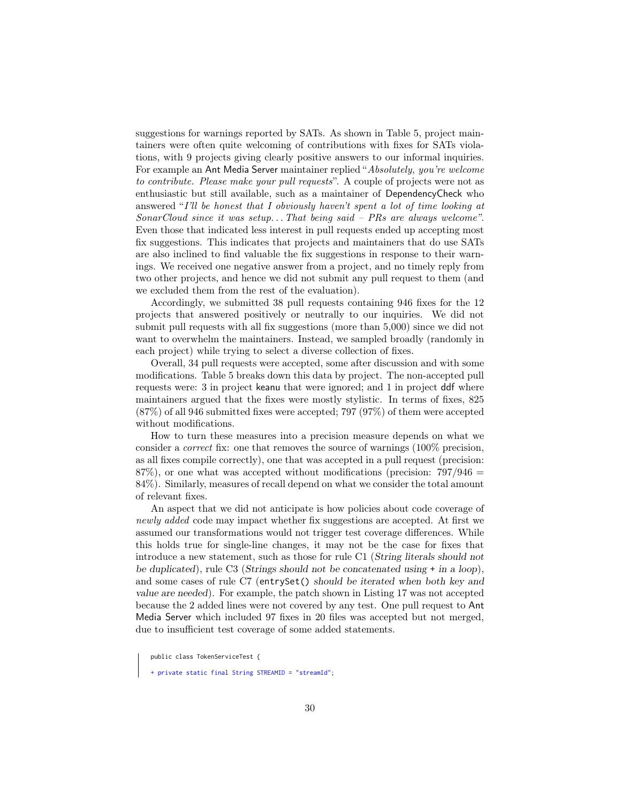suggestions for warnings reported by SATs. As shown in Table 5, project maintainers were often quite welcoming of contributions with fixes for SATs violations, with 9 projects giving clearly positive answers to our informal inquiries. For example an Ant Media Server maintainer replied "Absolutely, you're welcome to contribute. Please make your pull requests". A couple of projects were not as enthusiastic but still available, such as a maintainer of DependencyCheck who answered "I'll be honest that I obviously haven't spent a lot of time looking at SonarCloud since it was setup... That being said  $- PRs$  are always welcome". Even those that indicated less interest in pull requests ended up accepting most fix suggestions. This indicates that projects and maintainers that do use SATs are also inclined to find valuable the fix suggestions in response to their warnings. We received one negative answer from a project, and no timely reply from two other projects, and hence we did not submit any pull request to them (and we excluded them from the rest of the evaluation).

Accordingly, we submitted 38 pull requests containing 946 fixes for the 12 projects that answered positively or neutrally to our inquiries. We did not submit pull requests with all fix suggestions (more than 5,000) since we did not want to overwhelm the maintainers. Instead, we sampled broadly (randomly in each project) while trying to select a diverse collection of fixes.

Overall, 34 pull requests were accepted, some after discussion and with some modifications. Table 5 breaks down this data by project. The non-accepted pull requests were: 3 in project keanu that were ignored; and 1 in project ddf where maintainers argued that the fixes were mostly stylistic. In terms of fixes, 825 (87%) of all 946 submitted fixes were accepted; 797 (97%) of them were accepted without modifications.

How to turn these measures into a precision measure depends on what we consider a correct fix: one that removes the source of warnings (100% precision, as all fixes compile correctly), one that was accepted in a pull request (precision:  $87\%)$ , or one what was accepted without modifications (precision: 797/946 = 84%). Similarly, measures of recall depend on what we consider the total amount of relevant fixes.

An aspect that we did not anticipate is how policies about code coverage of newly added code may impact whether fix suggestions are accepted. At first we assumed our transformations would not trigger test coverage differences. While this holds true for single-line changes, it may not be the case for fixes that introduce a new statement, such as those for rule C1 (String literals should not be duplicated), rule C3 (Strings should not be concatenated using + in a loop), and some cases of rule C7 (entrySet() should be iterated when both key and value are needed). For example, the patch shown in Listing 17 was not accepted because the 2 added lines were not covered by any test. One pull request to Ant Media Server which included 97 fixes in 20 files was accepted but not merged, due to insufficient test coverage of some added statements.

public class TokenServiceTest {

<sup>+</sup> private static final String STREAMID = "streamId";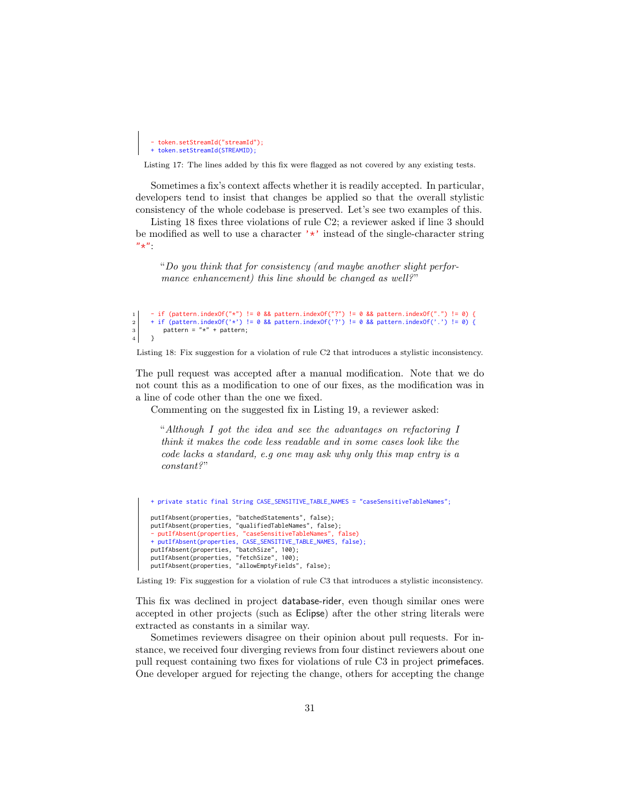```
token.setStreamId("streamId");
+ token.setStreamId(STREAMID);
```
Listing 17: The lines added by this fix were flagged as not covered by any existing tests.

Sometimes a fix's context affects whether it is readily accepted. In particular, developers tend to insist that changes be applied so that the overall stylistic consistency of the whole codebase is preserved. Let's see two examples of this.

Listing 18 fixes three violations of rule C2; a reviewer asked if line 3 should be modified as well to use a character '\*' instead of the single-character string  $"*"$ :

"Do you think that for consistency (and maybe another slight performance enhancement) this line should be changed as well?"

```
1 - if (pattern.indexOf("*") != 0 && pattern.indexOf("?") != 0 && pattern.indexOf(".") != 0) {<br>2 + if (pattern.indexOf('*') != 0 && pattern.indexOf('?') != 0 && pattern.indexOf('.') != 0) {<br>3 + pattern = "*" + pattern;
\begin{array}{c|c} 3 \\ 4 \end{array}
```
Listing 18: Fix suggestion for a violation of rule C2 that introduces a stylistic inconsistency.

The pull request was accepted after a manual modification. Note that we do not count this as a modification to one of our fixes, as the modification was in a line of code other than the one we fixed.

Commenting on the suggested fix in Listing 19, a reviewer asked:

"Although I got the idea and see the advantages on refactoring I think it makes the code less readable and in some cases look like the code lacks a standard, e.g one may ask why only this map entry is a constant?"

```
+ private static final String CASE_SENSITIVE_TABLE_NAMES = "caseSensitiveTableNames";
putIfAbsent(properties, "batchedStatements", false);
putIfAbsent(properties, "qualifiedTableNames", false);
- putIfAbsent(properties, "caseSensitiveTableNames", false)
+ putIfAbsent(properties, CASE_SENSITIVE_TABLE_NAMES, false);
putIfAbsent(properties, "batchSize", 100);
putIfAbsent(properties, "fetchSize", 100);
putIfAbsent(properties, "allowEmptyFields", false);
```
Listing 19: Fix suggestion for a violation of rule C3 that introduces a stylistic inconsistency.

This fix was declined in project database-rider, even though similar ones were accepted in other projects (such as Eclipse) after the other string literals were extracted as constants in a similar way.

Sometimes reviewers disagree on their opinion about pull requests. For instance, we received four diverging reviews from four distinct reviewers about one pull request containing two fixes for violations of rule C3 in project primefaces. One developer argued for rejecting the change, others for accepting the change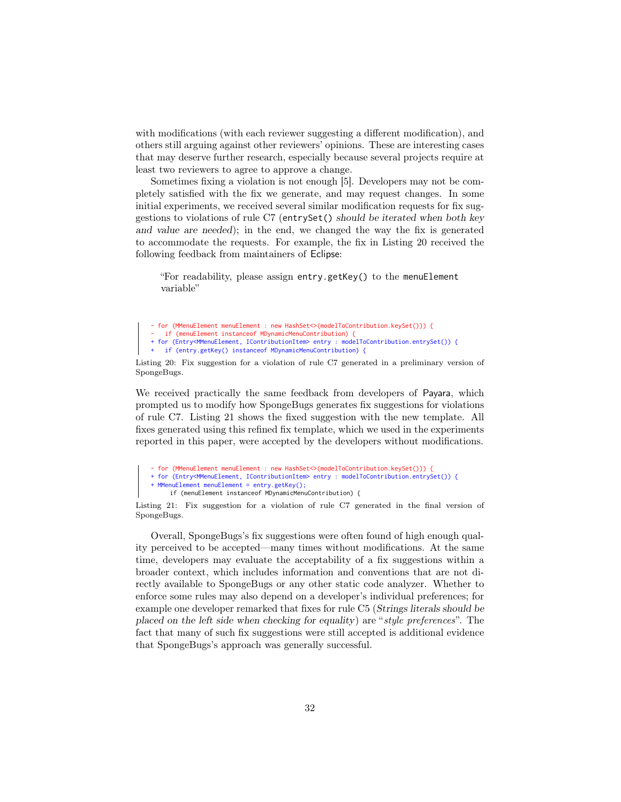with modifications (with each reviewer suggesting a different modification), and others still arguing against other reviewers' opinions. These are interesting cases that may deserve further research, especially because several projects require at least two reviewers to agree to approve a change.

Sometimes fixing a violation is not enough [5]. Developers may not be completely satisfied with the fix we generate, and may request changes. In some initial experiments, we received several similar modification requests for fix suggestions to violations of rule C7 (entrySet() should be iterated when both key and value are needed); in the end, we changed the way the fix is generated to accommodate the requests. For example, the fix in Listing 20 received the following feedback from maintainers of Eclipse:

"For readability, please assign entry.getKey() to the menuElement variable"

- for (MMenuElement menuElement : new HashSet<>(modelToContribution.keySet())) { - if (menuElement instanceof MDynamicMenuContribution) { + for (Entry<MMenuElement, IContributionItem> entry : modelToContribution.entrySet()) { if (entry.getKey() instanceof MDynamicMenuContribution) {

Listing 20: Fix suggestion for a violation of rule C7 generated in a preliminary version of SpongeBugs.

We received practically the same feedback from developers of Payara, which prompted us to modify how SpongeBugs generates fix suggestions for violations of rule C7. Listing 21 shows the fixed suggestion with the new template. All fixes generated using this refined fix template, which we used in the experiments reported in this paper, were accepted by the developers without modifications.

```
- for (MMenuElement menuElement : new HashSet<>(modelToContribution.keySet())) {
+ for (Entry<MMenuElement, IContributionItem> entry : modelToContribution.entrySet()) {
+ MMenuElement menuElement = entry.getKey();
     if (menuElement instanceof MDynamicMenuContribution) {
```
Listing 21: Fix suggestion for a violation of rule C7 generated in the final version of SpongeBugs.

Overall, SpongeBugs's fix suggestions were often found of high enough quality perceived to be accepted—many times without modifications. At the same time, developers may evaluate the acceptability of a fix suggestions within a broader context, which includes information and conventions that are not directly available to SpongeBugs or any other static code analyzer. Whether to enforce some rules may also depend on a developer's individual preferences; for example one developer remarked that fixes for rule C5 (Strings literals should be placed on the left side when checking for equality) are "style preferences". The fact that many of such fix suggestions were still accepted is additional evidence that SpongeBugs's approach was generally successful.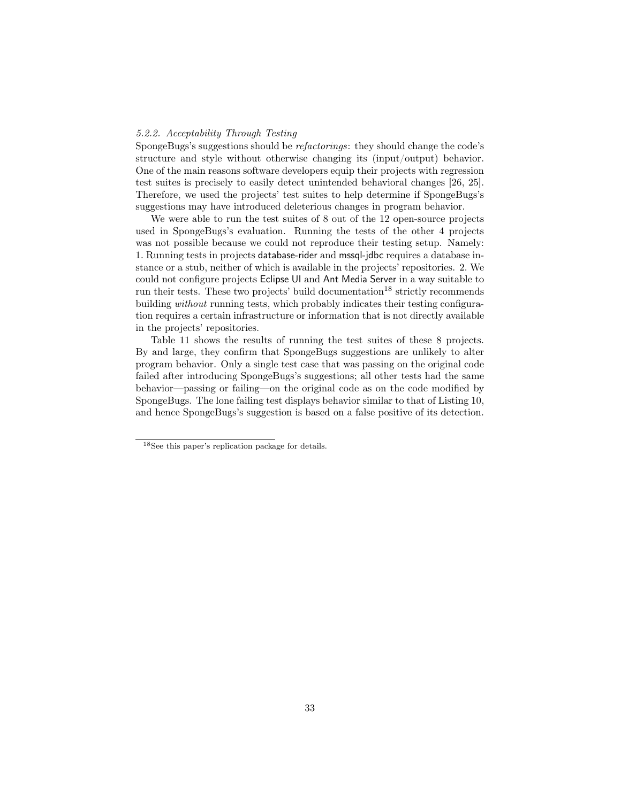## 5.2.2. Acceptability Through Testing

SpongeBugs's suggestions should be refactorings: they should change the code's structure and style without otherwise changing its (input/output) behavior. One of the main reasons software developers equip their projects with regression test suites is precisely to easily detect unintended behavioral changes [26, 25]. Therefore, we used the projects' test suites to help determine if SpongeBugs's suggestions may have introduced deleterious changes in program behavior.

We were able to run the test suites of 8 out of the 12 open-source projects used in SpongeBugs's evaluation. Running the tests of the other 4 projects was not possible because we could not reproduce their testing setup. Namely: 1. Running tests in projects database-rider and mssql-jdbc requires a database instance or a stub, neither of which is available in the projects' repositories. 2. We could not configure projects Eclipse UI and Ant Media Server in a way suitable to run their tests. These two projects' build documentation<sup>18</sup> strictly recommends building without running tests, which probably indicates their testing configuration requires a certain infrastructure or information that is not directly available in the projects' repositories.

Table 11 shows the results of running the test suites of these 8 projects. By and large, they confirm that SpongeBugs suggestions are unlikely to alter program behavior. Only a single test case that was passing on the original code failed after introducing SpongeBugs's suggestions; all other tests had the same behavior—passing or failing—on the original code as on the code modified by SpongeBugs. The lone failing test displays behavior similar to that of Listing 10, and hence SpongeBugs's suggestion is based on a false positive of its detection.

<sup>18</sup>See this paper's replication package for details.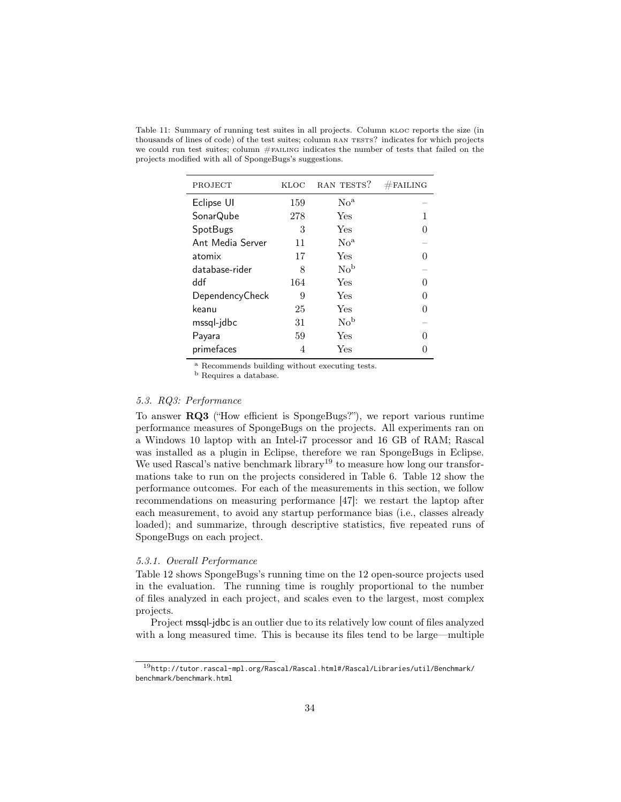Table 11: Summary of running test suites in all projects. Column kloc reports the size (in thousands of lines of code) of the test suites; column RAN TESTS? indicates for which projects we could run test suites; column  $#$  FAILING indicates the number of tests that failed on the projects modified with all of SpongeBugs's suggestions.

| PROJECT          | KLOC | RAN TESTS?      | $#$ FAILING |
|------------------|------|-----------------|-------------|
| Eclipse UI       | 159  | $No^a$          |             |
| SonarQube        | 278  | Yes             |             |
| SpotBugs         | 3    | Yes             |             |
| Ant Media Server | 11   | $No^a$          |             |
| atomix           | 17   | Yes             |             |
| database-rider   | 8    | No <sup>b</sup> |             |
| ddf              | 164  | Yes             |             |
| DependencyCheck  | 9    | Yes             | ∩           |
| keanu            | 25   | Yes             | 0           |
| mssql-jdbc       | 31   | No <sup>b</sup> |             |
| Payara           | 59   | Yes             |             |
| primefaces       | 4    | Yes             |             |

<sup>a</sup> Recommends building without executing tests.

 $^{\rm b}$  Requires a database.

# 5.3. RQ3: Performance

To answer RQ3 ("How efficient is SpongeBugs?"), we report various runtime performance measures of SpongeBugs on the projects. All experiments ran on a Windows 10 laptop with an Intel-i7 processor and 16 GB of RAM; Rascal was installed as a plugin in Eclipse, therefore we ran SpongeBugs in Eclipse. We used Rascal's native benchmark library<sup>19</sup> to measure how long our transformations take to run on the projects considered in Table 6. Table 12 show the performance outcomes. For each of the measurements in this section, we follow recommendations on measuring performance [47]: we restart the laptop after each measurement, to avoid any startup performance bias (i.e., classes already loaded); and summarize, through descriptive statistics, five repeated runs of SpongeBugs on each project.

# 5.3.1. Overall Performance

Table 12 shows SpongeBugs's running time on the 12 open-source projects used in the evaluation. The running time is roughly proportional to the number of files analyzed in each project, and scales even to the largest, most complex projects.

Project mssql-jdbc is an outlier due to its relatively low count of files analyzed with a long measured time. This is because its files tend to be large—multiple

<sup>19</sup>http://tutor.rascal-mpl.org/Rascal/Rascal.html#/Rascal/Libraries/util/Benchmark/ benchmark/benchmark.html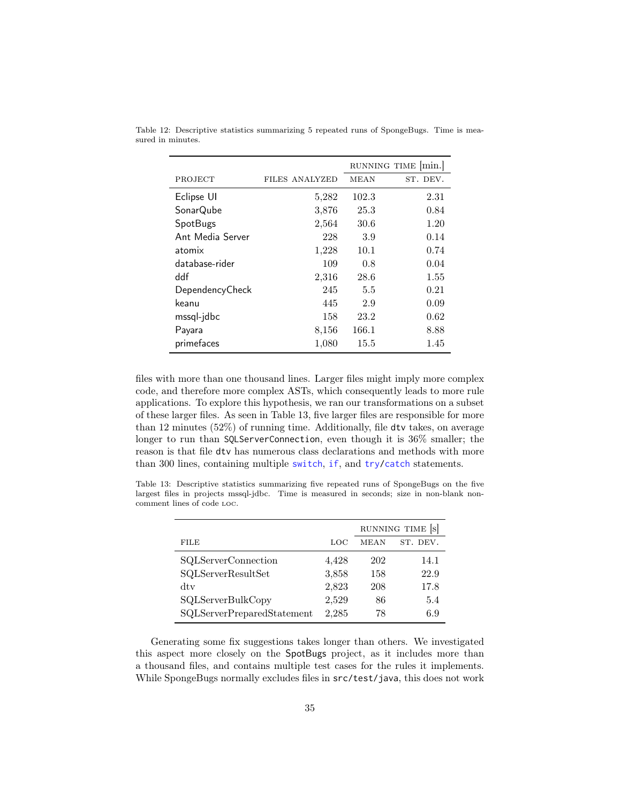|                  |                       |             | RUNNING TIME $ \text{min.} $ |
|------------------|-----------------------|-------------|------------------------------|
| PROJECT          | <b>FILES ANALYZED</b> | <b>MEAN</b> | ST. DEV.                     |
| Eclipse UI       | 5,282                 | 102.3       | 2.31                         |
| SonarQube        | 3,876                 | 25.3        | 0.84                         |
| SpotBugs         | 2,564                 | 30.6        | 1.20                         |
| Ant Media Server | 228                   | 3.9         | 0.14                         |
| atomix           | 1,228                 | 10.1        | 0.74                         |
| database-rider   | 109                   | 0.8         | 0.04                         |
| ddf              | 2,316                 | 28.6        | 1.55                         |
| DependencyCheck  | 245                   | 5.5         | 0.21                         |
| keanu            | 445                   | 2.9         | 0.09                         |
| mssql-jdbc       | 158                   | 23.2        | 0.62                         |
| Payara           | 8,156                 | 166.1       | 8.88                         |
| primefaces       | 1,080                 | 15.5        | 1.45                         |

Table 12: Descriptive statistics summarizing 5 repeated runs of SpongeBugs. Time is measured in minutes.

files with more than one thousand lines. Larger files might imply more complex code, and therefore more complex ASTs, which consequently leads to more rule applications. To explore this hypothesis, we ran our transformations on a subset of these larger files. As seen in Table 13, five larger files are responsible for more than 12 minutes (52%) of running time. Additionally, file dtv takes, on average longer to run than SQLServerConnection, even though it is 36% smaller; the reason is that file dtv has numerous class declarations and methods with more than 300 lines, containing multiple switch, if, and try/catch statements.

Table 13: Descriptive statistics summarizing five repeated runs of SpongeBugs on the five largest files in projects mssql-jdbc. Time is measured in seconds; size in non-blank noncomment lines of code loc.

|                            |       | RUNNING TIME S |          |  |
|----------------------------|-------|----------------|----------|--|
| FILE                       | LOC   | MEAN           | ST. DEV. |  |
| <b>SQLServerConnection</b> | 4,428 | 202            | 14.1     |  |
| SQLServerResultSet         | 3,858 | 158            | 22.9     |  |
| dtv                        | 2,823 | 208            | 17.8     |  |
| <b>SQLServerBulkCopy</b>   | 2,529 | 86             | 5.4      |  |
| SQLServerPreparedStatement | 2,285 | 78             | 6.9      |  |

Generating some fix suggestions takes longer than others. We investigated this aspect more closely on the SpotBugs project, as it includes more than a thousand files, and contains multiple test cases for the rules it implements. While SpongeBugs normally excludes files in src/test/java, this does not work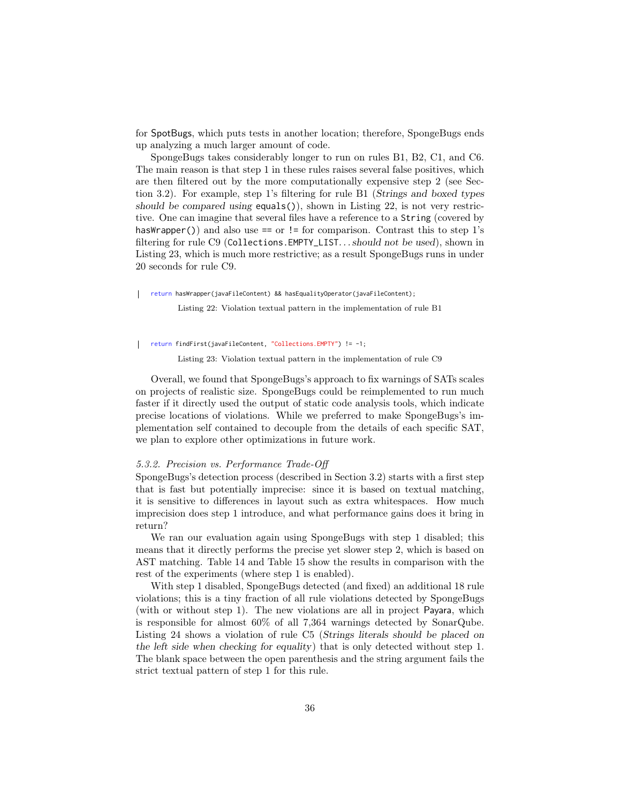for SpotBugs, which puts tests in another location; therefore, SpongeBugs ends up analyzing a much larger amount of code.

SpongeBugs takes considerably longer to run on rules B1, B2, C1, and C6. The main reason is that step 1 in these rules raises several false positives, which are then filtered out by the more computationally expensive step 2 (see Section 3.2). For example, step 1's filtering for rule B1 (Strings and boxed types should be compared using  $equals()$ , shown in Listing 22, is not very restrictive. One can imagine that several files have a reference to a String (covered by hasWrapper()) and also use  $==$  or  $!=$  for comparison. Contrast this to step 1's filtering for rule C9 (Collections.EMPTY\_LIST. .. should not be used), shown in Listing 23, which is much more restrictive; as a result SpongeBugs runs in under 20 seconds for rule C9.

return hasWrapper(javaFileContent) && hasEqualityOperator(javaFileContent);

Listing 22: Violation textual pattern in the implementation of rule B1

#### return findFirst(javaFileContent, "Collections.EMPTY") != -1;

Listing 23: Violation textual pattern in the implementation of rule C9

Overall, we found that SpongeBugs's approach to fix warnings of SATs scales on projects of realistic size. SpongeBugs could be reimplemented to run much faster if it directly used the output of static code analysis tools, which indicate precise locations of violations. While we preferred to make SpongeBugs's implementation self contained to decouple from the details of each specific SAT, we plan to explore other optimizations in future work.

#### 5.3.2. Precision vs. Performance Trade-Off

SpongeBugs's detection process (described in Section 3.2) starts with a first step that is fast but potentially imprecise: since it is based on textual matching, it is sensitive to differences in layout such as extra whitespaces. How much imprecision does step 1 introduce, and what performance gains does it bring in return?

We ran our evaluation again using SpongeBugs with step 1 disabled; this means that it directly performs the precise yet slower step 2, which is based on AST matching. Table 14 and Table 15 show the results in comparison with the rest of the experiments (where step 1 is enabled).

With step 1 disabled, SpongeBugs detected (and fixed) an additional 18 rule violations; this is a tiny fraction of all rule violations detected by SpongeBugs (with or without step 1). The new violations are all in project Payara, which is responsible for almost 60% of all 7,364 warnings detected by SonarQube. Listing 24 shows a violation of rule C5 (Strings literals should be placed on the left side when checking for equality) that is only detected without step 1. The blank space between the open parenthesis and the string argument fails the strict textual pattern of step 1 for this rule.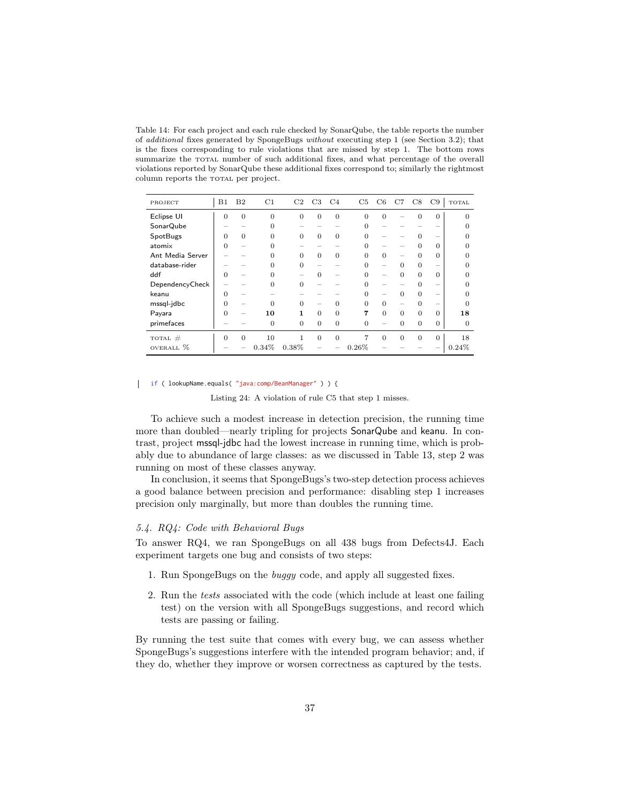Table 14: For each project and each rule checked by SonarQube, the table reports the number of additional fixes generated by SpongeBugs without executing step 1 (see Section 3.2); that is the fixes corresponding to rule violations that are missed by step 1. The bottom rows summarize the TOTAL number of such additional fixes, and what percentage of the overall violations reported by SonarQube these additional fixes correspond to; similarly the rightmost column reports the TOTAL per project.

| PROJECT          | B1             | B <sub>2</sub>           | C1       | C2             | C <sub>3</sub>           | C <sub>4</sub> | C5             | C6                       | C7                       | C8       | C9                       | <b>TOTAL</b> |
|------------------|----------------|--------------------------|----------|----------------|--------------------------|----------------|----------------|--------------------------|--------------------------|----------|--------------------------|--------------|
| Eclipse UI       | $\overline{0}$ | $\overline{0}$           | $\Omega$ | $\overline{0}$ | $\overline{0}$           | $\overline{0}$ | $\overline{0}$ | $\Omega$                 |                          | $\Omega$ | $\Omega$                 | $\Omega$     |
| SonarQube        |                |                          | $\Omega$ |                |                          |                | $\Omega$       |                          |                          |          |                          | 0            |
| SpotBugs         | $\overline{0}$ | $\overline{0}$           | $\Omega$ | $\overline{0}$ | $\overline{0}$           | $\overline{0}$ | $\overline{0}$ |                          |                          | $\Omega$ | $\overline{\phantom{a}}$ | 0            |
| atomix           | $\overline{0}$ | $\overline{\phantom{a}}$ | 0        |                |                          |                | $\Omega$       |                          |                          | $\Omega$ | $\Omega$                 | $\Omega$     |
| Ant Media Server |                |                          | $\Omega$ | $\Omega$       | $\Omega$                 | $\theta$       | $\Omega$       | $\Omega$                 | $\overline{\phantom{a}}$ | $\Omega$ | $\Omega$                 | $\Omega$     |
| database-rider   |                |                          | $\Omega$ | $\Omega$       | $\overline{\phantom{a}}$ |                | $\Omega$       |                          | $\Omega$                 | $\Omega$ | $\overline{\phantom{a}}$ | $\Omega$     |
| ddf              | $\Omega$       |                          | $\Omega$ |                | $\Omega$                 |                | $\Omega$       | $\overline{\phantom{a}}$ | $\Omega$                 | $\Omega$ | $\Omega$                 | $\Omega$     |
| DependencyCheck  |                |                          | $\Omega$ | $\Omega$       |                          |                | $\Omega$       |                          |                          | $\Omega$ | $\overline{\phantom{a}}$ | $\Omega$     |
| keanu            | $\overline{0}$ |                          |          |                |                          |                | $\Omega$       | $\overline{\phantom{a}}$ | $\Omega$                 | $\Omega$ | $\overline{\phantom{a}}$ | $\Omega$     |
| mssql-jdbc       | $\overline{0}$ | $\overline{\phantom{a}}$ | $\Omega$ | $\Omega$       | $\overline{\phantom{a}}$ | $\Omega$       | $\overline{0}$ | $\Omega$                 |                          | $\Omega$ | $\overline{\phantom{a}}$ | $\Omega$     |
| Payara           | $\Omega$       | $\overline{\phantom{a}}$ | 10       | 1              | $\Omega$                 | $\Omega$       | 7              | $\Omega$                 | $\Omega$                 | $\Omega$ | $\Omega$                 | 18           |
| primefaces       |                |                          | $\Omega$ | $\Omega$       | $\Omega$                 | $\overline{0}$ | $\Omega$       | $\overline{\phantom{a}}$ | $\Omega$                 | $\Omega$ | $\Omega$                 | $\Omega$     |
| TOTAL $#$        | $\overline{0}$ | $\Omega$                 | 10       | 1              | $\Omega$                 | $\Omega$       | 7              | $\Omega$                 | $\Omega$                 | $\Omega$ | $\Omega$                 | 18           |
| %<br>OVERALL     |                |                          | 0.34%    | 0.38%          |                          |                | $0.26\%$       |                          |                          |          |                          | 0.24%        |

#### if ( lookupName.equals( "java:comp/BeanManager" ) ) {

Listing 24: A violation of rule C5 that step 1 misses.

To achieve such a modest increase in detection precision, the running time more than doubled—nearly tripling for projects SonarQube and keanu. In contrast, project mssql-jdbc had the lowest increase in running time, which is probably due to abundance of large classes: as we discussed in Table 13, step 2 was running on most of these classes anyway.

In conclusion, it seems that SpongeBugs's two-step detection process achieves a good balance between precision and performance: disabling step 1 increases precision only marginally, but more than doubles the running time.

## 5.4. RQ4: Code with Behavioral Bugs

To answer RQ4, we ran SpongeBugs on all 438 bugs from Defects4J. Each experiment targets one bug and consists of two steps:

- 1. Run SpongeBugs on the buggy code, and apply all suggested fixes.
- 2. Run the tests associated with the code (which include at least one failing test) on the version with all SpongeBugs suggestions, and record which tests are passing or failing.

By running the test suite that comes with every bug, we can assess whether SpongeBugs's suggestions interfere with the intended program behavior; and, if they do, whether they improve or worsen correctness as captured by the tests.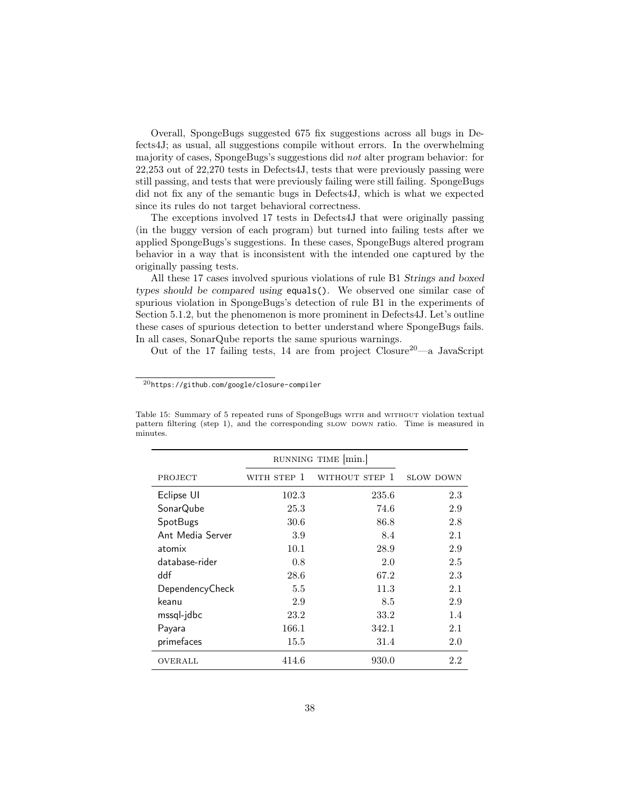Overall, SpongeBugs suggested 675 fix suggestions across all bugs in Defects4J; as usual, all suggestions compile without errors. In the overwhelming majority of cases, SpongeBugs's suggestions did not alter program behavior: for 22,253 out of 22,270 tests in Defects4J, tests that were previously passing were still passing, and tests that were previously failing were still failing. SpongeBugs did not fix any of the semantic bugs in Defects4J, which is what we expected since its rules do not target behavioral correctness.

The exceptions involved 17 tests in Defects4J that were originally passing (in the buggy version of each program) but turned into failing tests after we applied SpongeBugs's suggestions. In these cases, SpongeBugs altered program behavior in a way that is inconsistent with the intended one captured by the originally passing tests.

All these 17 cases involved spurious violations of rule B1 Strings and boxed types should be compared using equals(). We observed one similar case of spurious violation in SpongeBugs's detection of rule B1 in the experiments of Section 5.1.2, but the phenomenon is more prominent in Defects4J. Let's outline these cases of spurious detection to better understand where SpongeBugs fails. In all cases, SonarQube reports the same spurious warnings.

Out of the 17 failing tests, 14 are from project Closure<sup>20</sup>—a JavaScript

|                  | RUNNING TIME [min.] |                |                  |
|------------------|---------------------|----------------|------------------|
| PROJECT          | WITH STEP 1         | WITHOUT STEP 1 | <b>SLOW DOWN</b> |
| Eclipse UI       | 102.3               | 235.6          | 2.3              |
| SonarQube        | 25.3                | 74.6           | 2.9              |
| SpotBugs         | 30.6                | 86.8           | 2.8              |
| Ant Media Server | 3.9                 | 8.4            | 2.1              |
| atomix           | 10.1                | 28.9           | 2.9              |
| database-rider   | 0.8                 | 2.0            | 2.5              |
| ddf              | 28.6                | 67.2           | 2.3              |
| DependencyCheck  | 5.5                 | 11.3           | 2.1              |
| keanu            | 2.9                 | 8.5            | 2.9              |
| mssql-jdbc       | 23.2                | 33.2           | 1.4              |
| Payara           | 166.1               | 342.1          | 2.1              |
| primefaces       | 15.5                | 31.4           | 2.0              |
| OVERALL          | 414.6               | 930.0          | 2.2              |

Table 15: Summary of 5 repeated runs of SpongeBugs with and without violation textual pattern filtering (step 1), and the corresponding slow down ratio. Time is measured in minutes.

<sup>20</sup>https://github.com/google/closure-compiler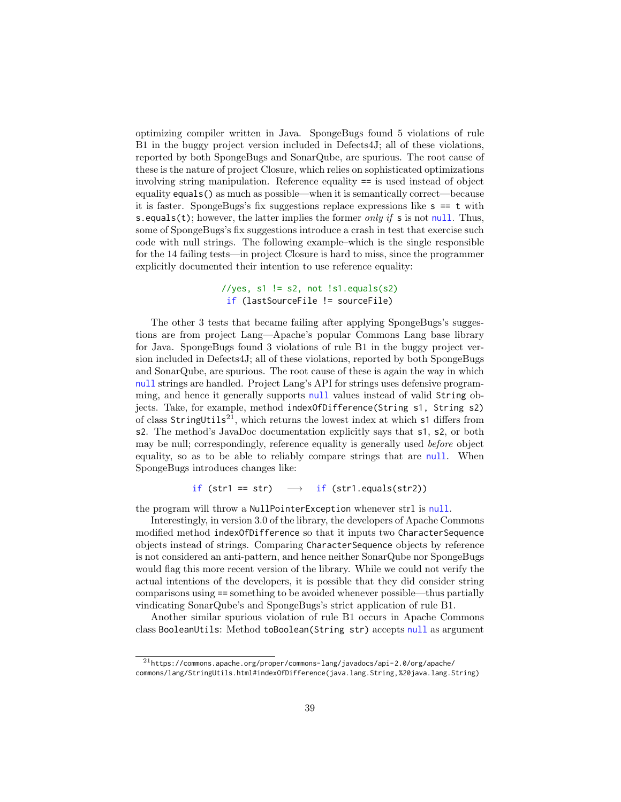optimizing compiler written in Java. SpongeBugs found 5 violations of rule B1 in the buggy project version included in Defects4J; all of these violations, reported by both SpongeBugs and SonarQube, are spurious. The root cause of these is the nature of project Closure, which relies on sophisticated optimizations involving string manipulation. Reference equality == is used instead of object equality equals() as much as possible—when it is semantically correct—because it is faster. SpongeBugs's fix suggestions replace expressions like s == t with s.equals(t); however, the latter implies the former only if s is not null. Thus, some of SpongeBugs's fix suggestions introduce a crash in test that exercise such code with null strings. The following example–which is the single responsible for the 14 failing tests—in project Closure is hard to miss, since the programmer explicitly documented their intention to use reference equality:

> $//yes, s1 != s2, not !s1.equals(s2)$ if (lastSourceFile != sourceFile)

The other 3 tests that became failing after applying SpongeBugs's suggestions are from project Lang—Apache's popular Commons Lang base library for Java. SpongeBugs found 3 violations of rule B1 in the buggy project version included in Defects4J; all of these violations, reported by both SpongeBugs and SonarQube, are spurious. The root cause of these is again the way in which null strings are handled. Project Lang's API for strings uses defensive programming, and hence it generally supports null values instead of valid String objects. Take, for example, method indexOfDifference(String s1, String s2) of class  $StringUtils<sup>21</sup>$ , which returns the lowest index at which s1 differs from s2. The method's JavaDoc documentation explicitly says that s1, s2, or both may be null; correspondingly, reference equality is generally used before object equality, so as to be able to reliably compare strings that are null. When SpongeBugs introduces changes like:

if (str1 == str)  $\rightarrow$  if (str1.equals(str2))

the program will throw a NullPointerException whenever str1 is null.

Interestingly, in version 3.0 of the library, the developers of Apache Commons modified method indexOfDifference so that it inputs two CharacterSequence objects instead of strings. Comparing CharacterSequence objects by reference is not considered an anti-pattern, and hence neither SonarQube nor SpongeBugs would flag this more recent version of the library. While we could not verify the actual intentions of the developers, it is possible that they did consider string comparisons using == something to be avoided whenever possible—thus partially vindicating SonarQube's and SpongeBugs's strict application of rule B1.

Another similar spurious violation of rule B1 occurs in Apache Commons class BooleanUtils: Method toBoolean(String str) accepts null as argument

<sup>21</sup>https://commons.apache.org/proper/commons-lang/javadocs/api-2.0/org/apache/ commons/lang/StringUtils.html#indexOfDifference(java.lang.String,%20java.lang.String)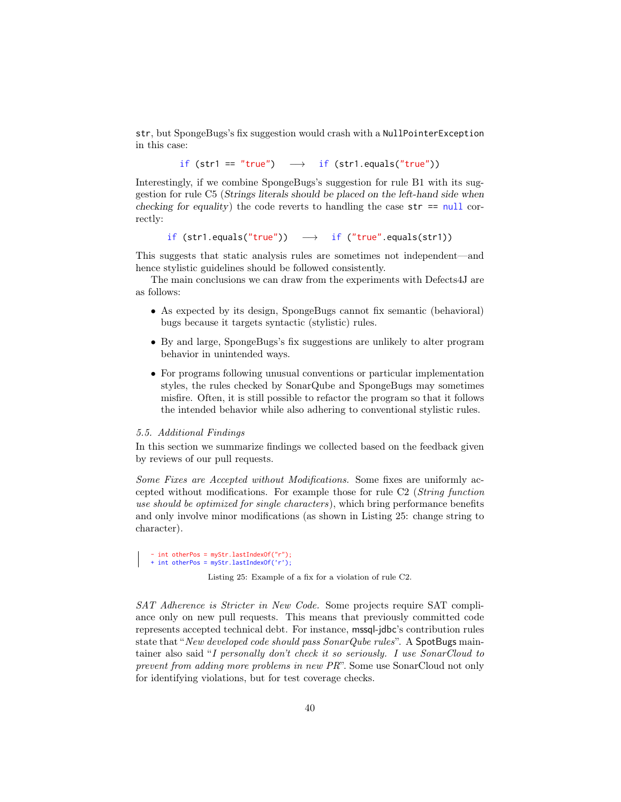str, but SpongeBugs's fix suggestion would crash with a NullPointerException in this case:

if (str1 == "true")  $\rightarrow$  if (str1.equals("true"))

Interestingly, if we combine SpongeBugs's suggestion for rule B1 with its suggestion for rule C5 (Strings literals should be placed on the left-hand side when checking for equality) the code reverts to handling the case  $str = null$  correctly:

if (str1.equals("true"))  $\rightarrow$  if ("true".equals(str1))

This suggests that static analysis rules are sometimes not independent—and hence stylistic guidelines should be followed consistently.

The main conclusions we can draw from the experiments with Defects4J are as follows:

- As expected by its design, SpongeBugs cannot fix semantic (behavioral) bugs because it targets syntactic (stylistic) rules.
- By and large, SpongeBugs's fix suggestions are unlikely to alter program behavior in unintended ways.
- For programs following unusual conventions or particular implementation styles, the rules checked by SonarQube and SpongeBugs may sometimes misfire. Often, it is still possible to refactor the program so that it follows the intended behavior while also adhering to conventional stylistic rules.

#### 5.5. Additional Findings

In this section we summarize findings we collected based on the feedback given by reviews of our pull requests.

Some Fixes are Accepted without Modifications. Some fixes are uniformly accepted without modifications. For example those for rule C2 (String function use should be optimized for single characters), which bring performance benefits and only involve minor modifications (as shown in Listing 25: change string to character).

```
- int otherPos = myStr.lastIndexOf("r");
```

```
+ int otherPos = myStr.lastIndexOf('r');
```
Listing 25: Example of a fix for a violation of rule C2.

SAT Adherence is Stricter in New Code. Some projects require SAT compliance only on new pull requests. This means that previously committed code represents accepted technical debt. For instance, mssql-jdbc's contribution rules state that "New developed code should pass SonarQube rules". A SpotBugs maintainer also said "I personally don't check it so seriously. I use SonarCloud to prevent from adding more problems in new PR". Some use SonarCloud not only for identifying violations, but for test coverage checks.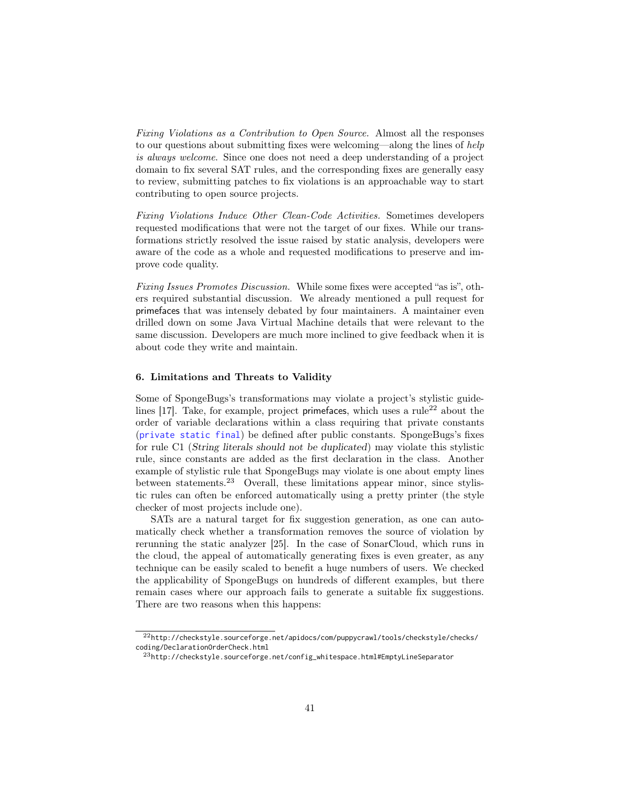Fixing Violations as a Contribution to Open Source. Almost all the responses to our questions about submitting fixes were welcoming—along the lines of help is always welcome. Since one does not need a deep understanding of a project domain to fix several SAT rules, and the corresponding fixes are generally easy to review, submitting patches to fix violations is an approachable way to start contributing to open source projects.

Fixing Violations Induce Other Clean-Code Activities. Sometimes developers requested modifications that were not the target of our fixes. While our transformations strictly resolved the issue raised by static analysis, developers were aware of the code as a whole and requested modifications to preserve and improve code quality.

Fixing Issues Promotes Discussion. While some fixes were accepted "as is", others required substantial discussion. We already mentioned a pull request for primefaces that was intensely debated by four maintainers. A maintainer even drilled down on some Java Virtual Machine details that were relevant to the same discussion. Developers are much more inclined to give feedback when it is about code they write and maintain.

## 6. Limitations and Threats to Validity

Some of SpongeBugs's transformations may violate a project's stylistic guidelines [17]. Take, for example, project primefaces, which uses a rule<sup>22</sup> about the order of variable declarations within a class requiring that private constants (private static final) be defined after public constants. SpongeBugs's fixes for rule C1 (String literals should not be duplicated) may violate this stylistic rule, since constants are added as the first declaration in the class. Another example of stylistic rule that SpongeBugs may violate is one about empty lines between statements.<sup>23</sup> Overall, these limitations appear minor, since stylistic rules can often be enforced automatically using a pretty printer (the style checker of most projects include one).

SATs are a natural target for fix suggestion generation, as one can automatically check whether a transformation removes the source of violation by rerunning the static analyzer [25]. In the case of SonarCloud, which runs in the cloud, the appeal of automatically generating fixes is even greater, as any technique can be easily scaled to benefit a huge numbers of users. We checked the applicability of SpongeBugs on hundreds of different examples, but there remain cases where our approach fails to generate a suitable fix suggestions. There are two reasons when this happens:

<sup>22</sup>http://checkstyle.sourceforge.net/apidocs/com/puppycrawl/tools/checkstyle/checks/ coding/DeclarationOrderCheck.html

<sup>23</sup>http://checkstyle.sourceforge.net/config\_whitespace.html#EmptyLineSeparator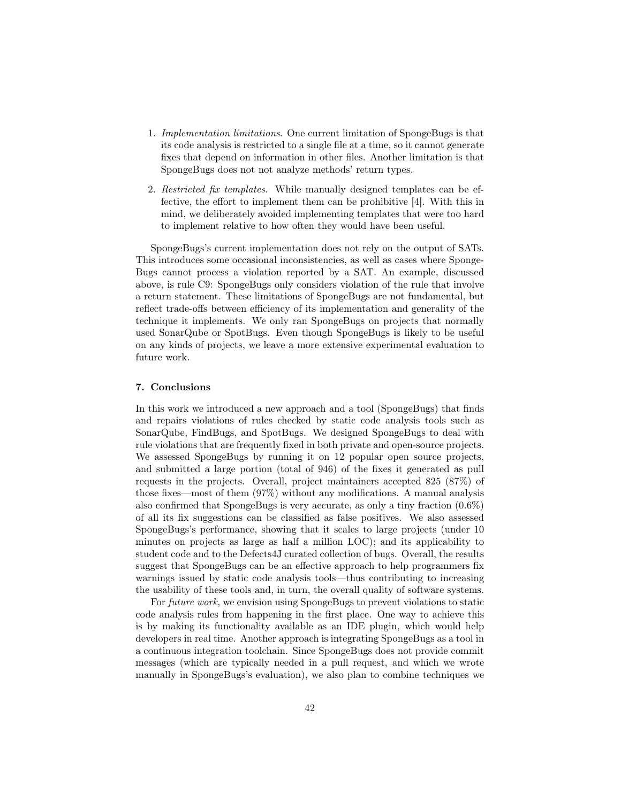- 1. Implementation limitations. One current limitation of SpongeBugs is that its code analysis is restricted to a single file at a time, so it cannot generate fixes that depend on information in other files. Another limitation is that SpongeBugs does not not analyze methods' return types.
- 2. Restricted fix templates. While manually designed templates can be effective, the effort to implement them can be prohibitive [4]. With this in mind, we deliberately avoided implementing templates that were too hard to implement relative to how often they would have been useful.

SpongeBugs's current implementation does not rely on the output of SATs. This introduces some occasional inconsistencies, as well as cases where Sponge-Bugs cannot process a violation reported by a SAT. An example, discussed above, is rule C9: SpongeBugs only considers violation of the rule that involve a return statement. These limitations of SpongeBugs are not fundamental, but reflect trade-offs between efficiency of its implementation and generality of the technique it implements. We only ran SpongeBugs on projects that normally used SonarQube or SpotBugs. Even though SpongeBugs is likely to be useful on any kinds of projects, we leave a more extensive experimental evaluation to future work.

#### 7. Conclusions

In this work we introduced a new approach and a tool (SpongeBugs) that finds and repairs violations of rules checked by static code analysis tools such as SonarQube, FindBugs, and SpotBugs. We designed SpongeBugs to deal with rule violations that are frequently fixed in both private and open-source projects. We assessed SpongeBugs by running it on 12 popular open source projects, and submitted a large portion (total of 946) of the fixes it generated as pull requests in the projects. Overall, project maintainers accepted 825 (87%) of those fixes—most of them (97%) without any modifications. A manual analysis also confirmed that SpongeBugs is very accurate, as only a tiny fraction (0.6%) of all its fix suggestions can be classified as false positives. We also assessed SpongeBugs's performance, showing that it scales to large projects (under 10 minutes on projects as large as half a million LOC); and its applicability to student code and to the Defects4J curated collection of bugs. Overall, the results suggest that SpongeBugs can be an effective approach to help programmers fix warnings issued by static code analysis tools—thus contributing to increasing the usability of these tools and, in turn, the overall quality of software systems.

For future work, we envision using SpongeBugs to prevent violations to static code analysis rules from happening in the first place. One way to achieve this is by making its functionality available as an IDE plugin, which would help developers in real time. Another approach is integrating SpongeBugs as a tool in a continuous integration toolchain. Since SpongeBugs does not provide commit messages (which are typically needed in a pull request, and which we wrote manually in SpongeBugs's evaluation), we also plan to combine techniques we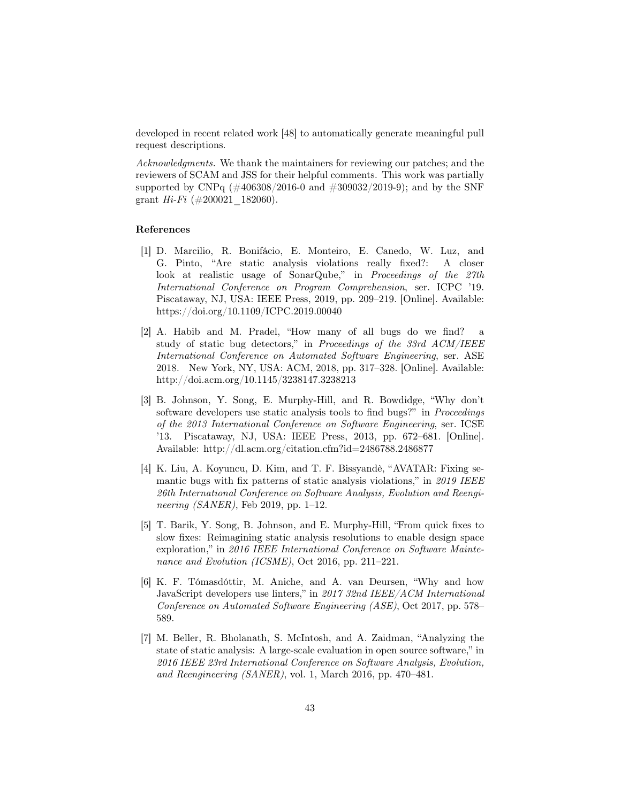developed in recent related work [48] to automatically generate meaningful pull request descriptions.

Acknowledgments. We thank the maintainers for reviewing our patches; and the reviewers of SCAM and JSS for their helpful comments. This work was partially supported by CNPq (#406308/2016-0 and #309032/2019-9); and by the SNF grant  $Hi-Fi$  ( $\#200021$  182060).

# References

- [1] D. Marcilio, R. Bonifácio, E. Monteiro, E. Canedo, W. Luz, and G. Pinto, "Are static analysis violations really fixed?: A closer look at realistic usage of SonarQube," in Proceedings of the 27th International Conference on Program Comprehension, ser. ICPC '19. Piscataway, NJ, USA: IEEE Press, 2019, pp. 209–219. [Online]. Available: https://doi.org/10.1109/ICPC.2019.00040
- [2] A. Habib and M. Pradel, "How many of all bugs do we find? a study of static bug detectors," in Proceedings of the 33rd ACM/IEEE International Conference on Automated Software Engineering, ser. ASE 2018. New York, NY, USA: ACM, 2018, pp. 317–328. [Online]. Available: http://doi.acm.org/10.1145/3238147.3238213
- [3] B. Johnson, Y. Song, E. Murphy-Hill, and R. Bowdidge, "Why don't software developers use static analysis tools to find bugs?" in *Proceedings* of the 2013 International Conference on Software Engineering, ser. ICSE '13. Piscataway, NJ, USA: IEEE Press, 2013, pp. 672–681. [Online]. Available: http://dl.acm.org/citation.cfm?id=2486788.2486877
- [4] K. Liu, A. Koyuncu, D. Kim, and T. F. Bissyandè, "AVATAR: Fixing semantic bugs with fix patterns of static analysis violations," in 2019 IEEE 26th International Conference on Software Analysis, Evolution and Reengineering (SANER), Feb 2019, pp. 1–12.
- [5] T. Barik, Y. Song, B. Johnson, and E. Murphy-Hill, "From quick fixes to slow fixes: Reimagining static analysis resolutions to enable design space exploration," in 2016 IEEE International Conference on Software Maintenance and Evolution (ICSME), Oct 2016, pp. 211–221.
- [6] K. F. Tómasdóttir, M. Aniche, and A. van Deursen, "Why and how JavaScript developers use linters," in 2017 32nd IEEE/ACM International Conference on Automated Software Engineering (ASE), Oct 2017, pp. 578– 589.
- [7] M. Beller, R. Bholanath, S. McIntosh, and A. Zaidman, "Analyzing the state of static analysis: A large-scale evaluation in open source software," in 2016 IEEE 23rd International Conference on Software Analysis, Evolution, and Reengineering (SANER), vol. 1, March 2016, pp. 470–481.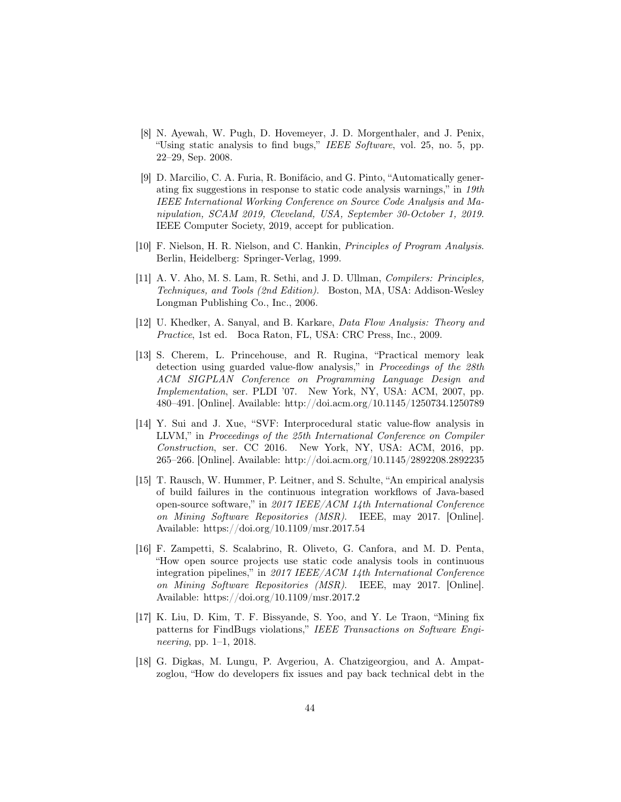- [8] N. Ayewah, W. Pugh, D. Hovemeyer, J. D. Morgenthaler, and J. Penix, "Using static analysis to find bugs," IEEE Software, vol. 25, no. 5, pp. 22–29, Sep. 2008.
- [9] D. Marcilio, C. A. Furia, R. Bonifácio, and G. Pinto, "Automatically generating fix suggestions in response to static code analysis warnings," in 19th IEEE International Working Conference on Source Code Analysis and Manipulation, SCAM 2019, Cleveland, USA, September 30-October 1, 2019. IEEE Computer Society, 2019, accept for publication.
- [10] F. Nielson, H. R. Nielson, and C. Hankin, *Principles of Program Analysis*. Berlin, Heidelberg: Springer-Verlag, 1999.
- [11] A. V. Aho, M. S. Lam, R. Sethi, and J. D. Ullman, Compilers: Principles, Techniques, and Tools (2nd Edition). Boston, MA, USA: Addison-Wesley Longman Publishing Co., Inc., 2006.
- [12] U. Khedker, A. Sanyal, and B. Karkare, Data Flow Analysis: Theory and Practice, 1st ed. Boca Raton, FL, USA: CRC Press, Inc., 2009.
- [13] S. Cherem, L. Princehouse, and R. Rugina, "Practical memory leak detection using guarded value-flow analysis," in Proceedings of the 28th ACM SIGPLAN Conference on Programming Language Design and Implementation, ser. PLDI '07. New York, NY, USA: ACM, 2007, pp. 480–491. [Online]. Available: http://doi.acm.org/10.1145/1250734.1250789
- [14] Y. Sui and J. Xue, "SVF: Interprocedural static value-flow analysis in LLVM," in Proceedings of the 25th International Conference on Compiler Construction, ser. CC 2016. New York, NY, USA: ACM, 2016, pp. 265–266. [Online]. Available: http://doi.acm.org/10.1145/2892208.2892235
- [15] T. Rausch, W. Hummer, P. Leitner, and S. Schulte, "An empirical analysis of build failures in the continuous integration workflows of Java-based open-source software," in 2017 IEEE/ACM 14th International Conference on Mining Software Repositories (MSR). IEEE, may 2017. [Online]. Available: https://doi.org/10.1109/msr.2017.54
- [16] F. Zampetti, S. Scalabrino, R. Oliveto, G. Canfora, and M. D. Penta, "How open source projects use static code analysis tools in continuous integration pipelines," in 2017 IEEE/ACM 14th International Conference on Mining Software Repositories (MSR). IEEE, may 2017. [Online]. Available: https://doi.org/10.1109/msr.2017.2
- [17] K. Liu, D. Kim, T. F. Bissyande, S. Yoo, and Y. Le Traon, "Mining fix patterns for FindBugs violations," IEEE Transactions on Software Engineering, pp. 1–1, 2018.
- [18] G. Digkas, M. Lungu, P. Avgeriou, A. Chatzigeorgiou, and A. Ampatzoglou, "How do developers fix issues and pay back technical debt in the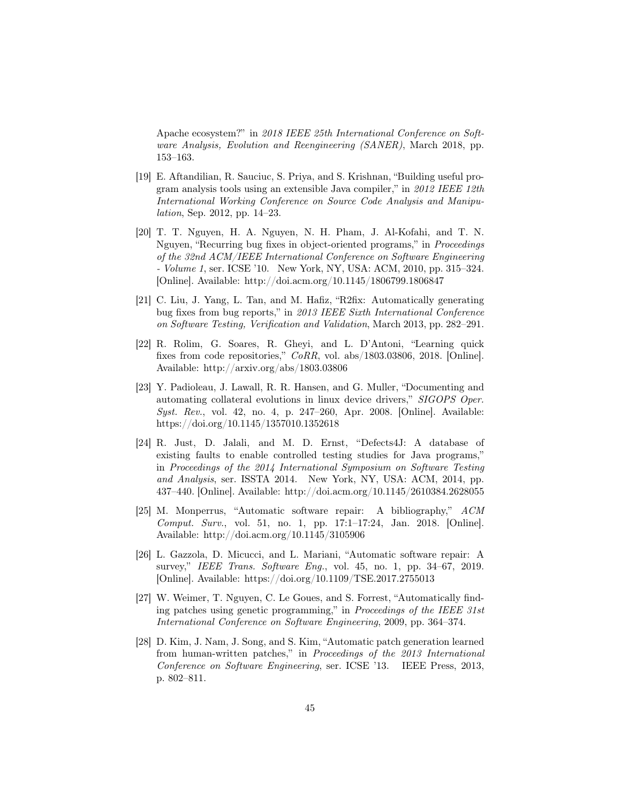Apache ecosystem?" in 2018 IEEE 25th International Conference on Software Analysis, Evolution and Reengineering (SANER), March 2018, pp. 153–163.

- [19] E. Aftandilian, R. Sauciuc, S. Priya, and S. Krishnan, "Building useful program analysis tools using an extensible Java compiler," in 2012 IEEE 12th International Working Conference on Source Code Analysis and Manipulation, Sep. 2012, pp. 14–23.
- [20] T. T. Nguyen, H. A. Nguyen, N. H. Pham, J. Al-Kofahi, and T. N. Nguyen, "Recurring bug fixes in object-oriented programs," in Proceedings of the 32nd ACM/IEEE International Conference on Software Engineering - Volume 1, ser. ICSE '10. New York, NY, USA: ACM, 2010, pp. 315–324. [Online]. Available: http://doi.acm.org/10.1145/1806799.1806847
- [21] C. Liu, J. Yang, L. Tan, and M. Hafiz, "R2fix: Automatically generating bug fixes from bug reports," in 2013 IEEE Sixth International Conference on Software Testing, Verification and Validation, March 2013, pp. 282–291.
- [22] R. Rolim, G. Soares, R. Gheyi, and L. D'Antoni, "Learning quick fixes from code repositories," CoRR, vol. abs/1803.03806, 2018. [Online]. Available: http://arxiv.org/abs/1803.03806
- [23] Y. Padioleau, J. Lawall, R. R. Hansen, and G. Muller, "Documenting and automating collateral evolutions in linux device drivers," SIGOPS Oper. Syst. Rev., vol. 42, no. 4, p. 247–260, Apr. 2008. [Online]. Available: https://doi.org/10.1145/1357010.1352618
- [24] R. Just, D. Jalali, and M. D. Ernst, "Defects4J: A database of existing faults to enable controlled testing studies for Java programs," in Proceedings of the 2014 International Symposium on Software Testing and Analysis, ser. ISSTA 2014. New York, NY, USA: ACM, 2014, pp. 437–440. [Online]. Available: http://doi.acm.org/10.1145/2610384.2628055
- [25] M. Monperrus, "Automatic software repair: A bibliography," ACM Comput. Surv., vol. 51, no. 1, pp. 17:1–17:24, Jan. 2018. [Online]. Available: http://doi.acm.org/10.1145/3105906
- [26] L. Gazzola, D. Micucci, and L. Mariani, "Automatic software repair: A survey," IEEE Trans. Software Eng., vol. 45, no. 1, pp. 34–67, 2019. [Online]. Available: https://doi.org/10.1109/TSE.2017.2755013
- [27] W. Weimer, T. Nguyen, C. Le Goues, and S. Forrest, "Automatically finding patches using genetic programming," in Proceedings of the IEEE 31st International Conference on Software Engineering, 2009, pp. 364–374.
- [28] D. Kim, J. Nam, J. Song, and S. Kim, "Automatic patch generation learned from human-written patches," in Proceedings of the 2013 International Conference on Software Engineering, ser. ICSE '13. IEEE Press, 2013, p. 802–811.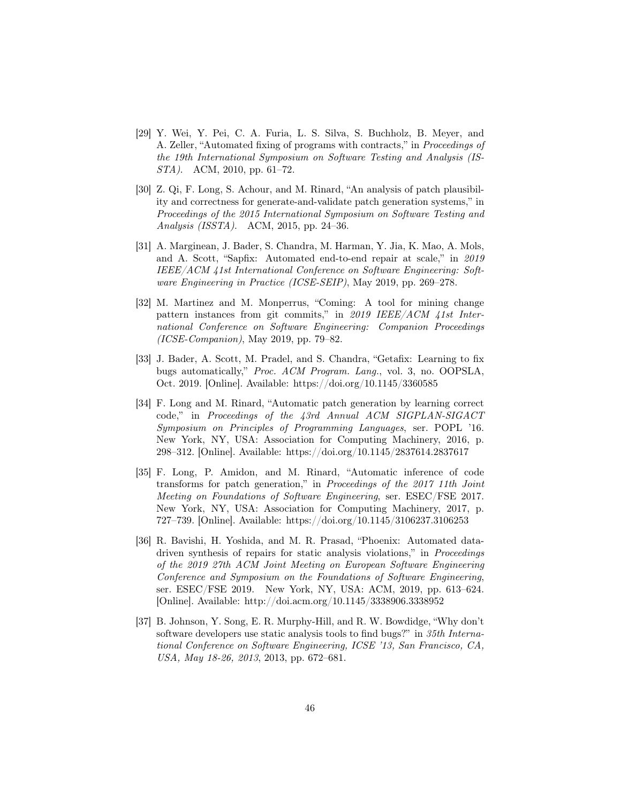- [29] Y. Wei, Y. Pei, C. A. Furia, L. S. Silva, S. Buchholz, B. Meyer, and A. Zeller, "Automated fixing of programs with contracts," in Proceedings of the 19th International Symposium on Software Testing and Analysis (IS-STA). ACM, 2010, pp. 61–72.
- [30] Z. Qi, F. Long, S. Achour, and M. Rinard, "An analysis of patch plausibility and correctness for generate-and-validate patch generation systems," in Proceedings of the 2015 International Symposium on Software Testing and Analysis (ISSTA). ACM, 2015, pp. 24–36.
- [31] A. Marginean, J. Bader, S. Chandra, M. Harman, Y. Jia, K. Mao, A. Mols, and A. Scott, "Sapfix: Automated end-to-end repair at scale," in 2019 IEEE/ACM 41st International Conference on Software Engineering: Software Engineering in Practice (ICSE-SEIP), May 2019, pp. 269–278.
- [32] M. Martinez and M. Monperrus, "Coming: A tool for mining change pattern instances from git commits," in 2019 IEEE/ACM 41st International Conference on Software Engineering: Companion Proceedings (ICSE-Companion), May 2019, pp. 79–82.
- [33] J. Bader, A. Scott, M. Pradel, and S. Chandra, "Getafix: Learning to fix bugs automatically," Proc. ACM Program. Lang., vol. 3, no. OOPSLA, Oct. 2019. [Online]. Available: https://doi.org/10.1145/3360585
- [34] F. Long and M. Rinard, "Automatic patch generation by learning correct code," in Proceedings of the 43rd Annual ACM SIGPLAN-SIGACT Symposium on Principles of Programming Languages, ser. POPL '16. New York, NY, USA: Association for Computing Machinery, 2016, p. 298–312. [Online]. Available: https://doi.org/10.1145/2837614.2837617
- [35] F. Long, P. Amidon, and M. Rinard, "Automatic inference of code transforms for patch generation," in Proceedings of the 2017 11th Joint Meeting on Foundations of Software Engineering, ser. ESEC/FSE 2017. New York, NY, USA: Association for Computing Machinery, 2017, p. 727–739. [Online]. Available: https://doi.org/10.1145/3106237.3106253
- [36] R. Bavishi, H. Yoshida, and M. R. Prasad, "Phoenix: Automated datadriven synthesis of repairs for static analysis violations," in *Proceedings* of the 2019 27th ACM Joint Meeting on European Software Engineering Conference and Symposium on the Foundations of Software Engineering, ser. ESEC/FSE 2019. New York, NY, USA: ACM, 2019, pp. 613–624. [Online]. Available: http://doi.acm.org/10.1145/3338906.3338952
- [37] B. Johnson, Y. Song, E. R. Murphy-Hill, and R. W. Bowdidge, "Why don't software developers use static analysis tools to find bugs?" in 35th International Conference on Software Engineering, ICSE '13, San Francisco, CA, USA, May 18-26, 2013, 2013, pp. 672–681.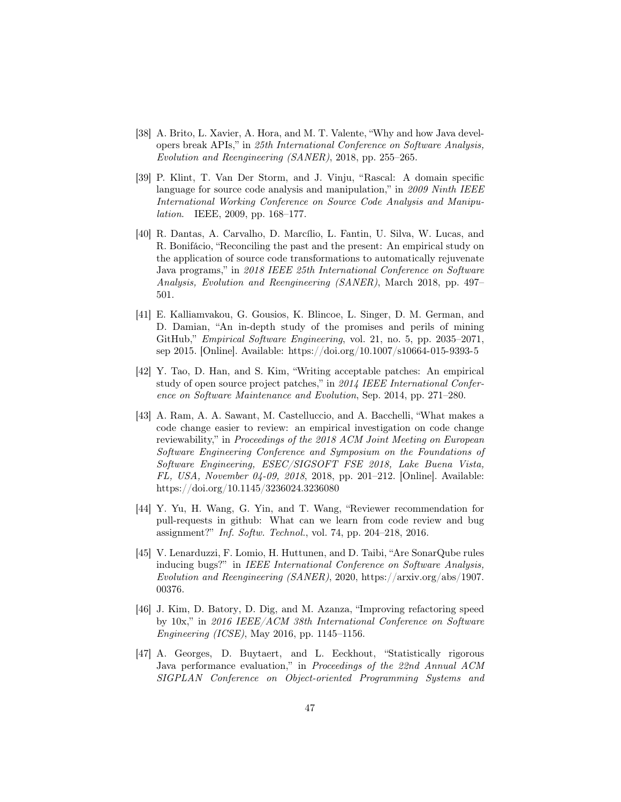- [38] A. Brito, L. Xavier, A. Hora, and M. T. Valente, "Why and how Java developers break APIs," in 25th International Conference on Software Analysis, Evolution and Reengineering (SANER), 2018, pp. 255–265.
- [39] P. Klint, T. Van Der Storm, and J. Vinju, "Rascal: A domain specific language for source code analysis and manipulation," in 2009 Ninth IEEE International Working Conference on Source Code Analysis and Manipulation. IEEE, 2009, pp. 168–177.
- [40] R. Dantas, A. Carvalho, D. Marcílio, L. Fantin, U. Silva, W. Lucas, and R. Bonifácio, "Reconciling the past and the present: An empirical study on the application of source code transformations to automatically rejuvenate Java programs," in 2018 IEEE 25th International Conference on Software Analysis, Evolution and Reengineering (SANER), March 2018, pp. 497– 501.
- [41] E. Kalliamvakou, G. Gousios, K. Blincoe, L. Singer, D. M. German, and D. Damian, "An in-depth study of the promises and perils of mining GitHub," Empirical Software Engineering, vol. 21, no. 5, pp. 2035–2071, sep 2015. [Online]. Available: https://doi.org/10.1007/s10664-015-9393-5
- [42] Y. Tao, D. Han, and S. Kim, "Writing acceptable patches: An empirical study of open source project patches," in 2014 IEEE International Conference on Software Maintenance and Evolution, Sep. 2014, pp. 271–280.
- [43] A. Ram, A. A. Sawant, M. Castelluccio, and A. Bacchelli, "What makes a code change easier to review: an empirical investigation on code change reviewability," in Proceedings of the 2018 ACM Joint Meeting on European Software Engineering Conference and Symposium on the Foundations of Software Engineering, ESEC/SIGSOFT FSE 2018, Lake Buena Vista, FL, USA, November 04-09, 2018, 2018, pp. 201–212. [Online]. Available: https://doi.org/10.1145/3236024.3236080
- [44] Y. Yu, H. Wang, G. Yin, and T. Wang, "Reviewer recommendation for pull-requests in github: What can we learn from code review and bug assignment?" Inf. Softw. Technol., vol. 74, pp. 204–218, 2016.
- [45] V. Lenarduzzi, F. Lomio, H. Huttunen, and D. Taibi, "Are SonarQube rules inducing bugs?" in IEEE International Conference on Software Analysis, Evolution and Reengineering  $(SANER)$ , 2020, https://arxiv.org/abs/1907. 00376.
- [46] J. Kim, D. Batory, D. Dig, and M. Azanza, "Improving refactoring speed by 10x," in 2016 IEEE/ACM 38th International Conference on Software Engineering (ICSE), May 2016, pp. 1145–1156.
- [47] A. Georges, D. Buytaert, and L. Eeckhout, "Statistically rigorous Java performance evaluation," in Proceedings of the 22nd Annual ACM SIGPLAN Conference on Object-oriented Programming Systems and